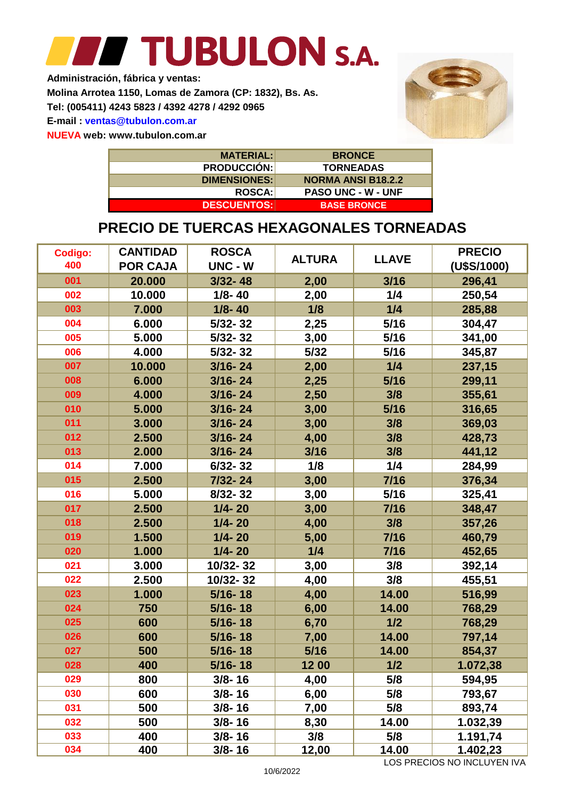## TUBULON S.A. **Single Street**

**Administración, fábrica y ventas:**

**Molina Arrotea 1150, Lomas de Zamora (CP: 1832), Bs. As.**

**Tel: (005411) 4243 5823 / 4392 4278 / 4292 0965**

**E-mail : ventas@tubulon.com.ar**

**NUEVA web: www.tubulon.com.ar**



| <b>MATERIAL:</b>    | <b>BRONCE</b>             |
|---------------------|---------------------------|
| <b>PRODUCCIÓN:</b>  | <b>TORNEADAS</b>          |
| <b>DIMENSIONES:</b> | <b>NORMA ANSI B18.2.2</b> |
| <b>ROSCA:</b>       | <b>PASO UNC - W - UNF</b> |
| <b>DESCUENTOS:</b>  | <b>BASE BRONCE</b>        |

#### **PRECIO DE TUERCAS HEXAGONALES TORNEADAS**

| Codigo: | <b>CANTIDAD</b> | <b>ROSCA</b> | <b>ALTURA</b> | <b>LLAVE</b> | <b>PRECIO</b> |
|---------|-----------------|--------------|---------------|--------------|---------------|
| 400     | <b>POR CAJA</b> | UNC - W      |               |              | (U\$S/1000)   |
| 001     | 20.000          | $3/32 - 48$  | 2,00          | 3/16         | 296,41        |
| 002     | 10.000          | $1/8 - 40$   | 2,00          | 1/4          | 250,54        |
| 003     | 7.000           | $1/8 - 40$   | 1/8           | 1/4          | 285,88        |
| 004     | 6.000           | $5/32 - 32$  | 2,25          | 5/16         | 304,47        |
| 005     | 5.000           | $5/32 - 32$  | 3,00          | 5/16         | 341,00        |
| 006     | 4.000           | $5/32 - 32$  | $5/32$        | 5/16         | 345,87        |
| 007     | 10.000          | $3/16 - 24$  | 2,00          | 1/4          | 237,15        |
| 008     | 6.000           | $3/16 - 24$  | 2,25          | 5/16         | 299,11        |
| 009     | 4.000           | $3/16 - 24$  | 2,50          | 3/8          | 355,61        |
| 010     | 5.000           | $3/16 - 24$  | 3,00          | 5/16         | 316,65        |
| 011     | 3.000           | $3/16 - 24$  | 3,00          | 3/8          | 369,03        |
| 012     | 2.500           | $3/16 - 24$  | 4,00          | 3/8          | 428,73        |
| 013     | 2.000           | $3/16 - 24$  | 3/16          | 3/8          | 441,12        |
| 014     | 7.000           | $6/32 - 32$  | 1/8           | 1/4          | 284,99        |
| 015     | 2.500           | 7/32-24      | 3,00          | $7/16$       | 376,34        |
| 016     | 5.000           | $8/32 - 32$  | 3,00          | 5/16         | 325,41        |
| 017     | 2.500           | $1/4 - 20$   | 3,00          | 7/16         | 348,47        |
| 018     | 2.500           | $1/4 - 20$   | 4,00          | 3/8          | 357,26        |
| 019     | 1.500           | $1/4 - 20$   | 5,00          | $7/16$       | 460,79        |
| 020     | 1.000           | $1/4 - 20$   | 1/4           | $7/16$       | 452,65        |
| 021     | 3.000           | 10/32-32     | 3,00          | 3/8          | 392,14        |
| 022     | 2.500           | 10/32-32     | 4,00          | 3/8          | 455,51        |
| 023     | 1.000           | $5/16 - 18$  | 4,00          | 14.00        | 516,99        |
| 024     | 750             | $5/16 - 18$  | 6,00          | 14.00        | 768,29        |
| 025     | 600             | $5/16 - 18$  | 6,70          | 1/2          | 768,29        |
| 026     | 600             | $5/16 - 18$  | 7,00          | 14.00        | 797,14        |
| 027     | 500             | $5/16 - 18$  | 5/16          | 14.00        | 854,37        |
| 028     | 400             | $5/16 - 18$  | 12 00         | 1/2          | 1.072,38      |
| 029     | 800             | $3/8 - 16$   | 4,00          | 5/8          | 594,95        |
| 030     | 600             | $3/8 - 16$   | 6,00          | 5/8          | 793,67        |
| 031     | 500             | $3/8 - 16$   | 7,00          | 5/8          | 893,74        |
| 032     | 500             | $3/8 - 16$   | 8,30          | 14.00        | 1.032,39      |
| 033     | 400             | $3/8 - 16$   | 3/8           | 5/8          | 1.191,74      |
| 034     | 400             | $3/8 - 16$   | 12,00         | 14.00        | 1.402,23      |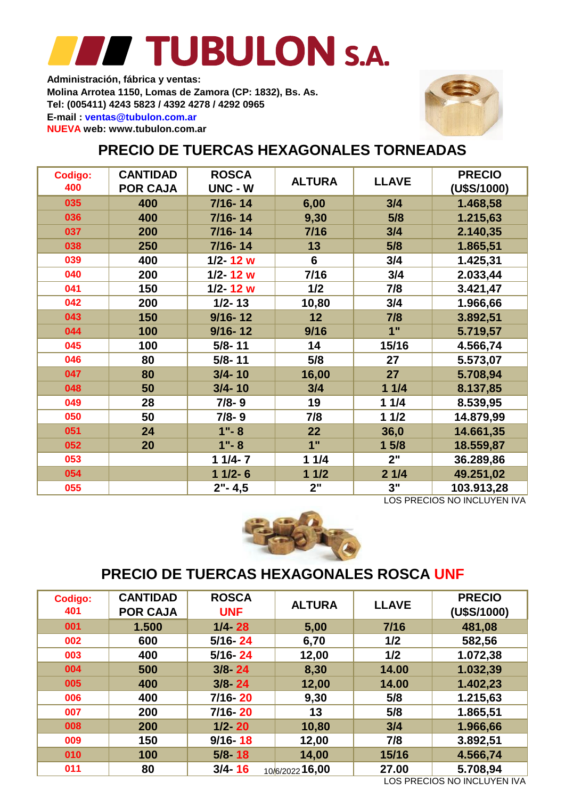**Molina Arrotea 1150, Lomas de Zamora (CP: 1832), Bs. As. Tel: (005411) 4243 5823 / 4392 4278 / 4292 0965 E-mail : ventas@tubulon.com.ar Administración, fábrica y ventas: NUEVA web: www.tubulon.com.ar**



### **PRECIO DE TUERCAS HEXAGONALES TORNEADAS**

| Codigo:<br>400 | <b>CANTIDAD</b><br><b>POR CAJA</b> | <b>ROSCA</b><br>UNC - W | <b>ALTURA</b>   | <b>LLAVE</b> | <b>PRECIO</b><br>(U\$S/1000) |
|----------------|------------------------------------|-------------------------|-----------------|--------------|------------------------------|
| 035            | 400                                | $7/16 - 14$             | 6,00            | 3/4          | 1.468,58                     |
| 036            | 400                                | $7/16 - 14$             | 9,30            | 5/8          | 1.215,63                     |
| 037            | 200                                | $7/16 - 14$             | 7/16            | 3/4          | 2.140,35                     |
| 038            | 250                                | $7/16 - 14$             | 13              | 5/8          | 1.865,51                     |
| 039            | 400                                | $1/2 - 12$ w            | $6\phantom{1}6$ | 3/4          | 1.425,31                     |
| 040            | 200                                | $1/2 - 12$ w            | 7/16            | 3/4          | 2.033,44                     |
| 041            | 150                                | $1/2 - 12$ w            | 1/2             | 7/8          | 3.421,47                     |
| 042            | 200                                | $1/2 - 13$              | 10,80           | 3/4          | 1.966,66                     |
| 043            | 150                                | $9/16 - 12$             | 12              | 7/8          | 3.892,51                     |
| 044            | 100                                | $9/16 - 12$             | 9/16            | 1"           | 5.719,57                     |
| 045            | 100                                | $5/8 - 11$              | 14              | 15/16        | 4.566,74                     |
| 046            | 80                                 | $5/8 - 11$              | 5/8             | 27           | 5.573,07                     |
| 047            | 80                                 | $3/4 - 10$              | 16,00           | 27           | 5.708,94                     |
| 048            | 50                                 | $3/4 - 10$              | 3/4             | 11/4         | 8.137,85                     |
| 049            | 28                                 | $7/8 - 9$               | 19              | 11/4         | 8.539,95                     |
| 050            | 50                                 | $7/8 - 9$               | 7/8             | $11/2$       | 14.879,99                    |
| 051            | 24                                 | $1 - 8$                 | 22              | 36,0         | 14.661,35                    |
| 052            | 20                                 | $1 - 8$                 | 1"              | 15/8         | 18.559,87                    |
| 053            |                                    | $11/4 - 7$              | 11/4            | 2"           | 36.289,86                    |
| 054            |                                    | $11/2 - 6$              | 11/2            | 21/4         | 49.251,02                    |
| 055            |                                    | $2" - 4,5$              | 2"              | 3"           | 103.913,28                   |

LOS PRECIOS NO INCLUYEN IVA



#### **PRECIO DE TUERCAS HEXAGONALES ROSCA UNF**

| <b>Codigo:</b><br>401 | <b>CANTIDAD</b><br><b>POR CAJA</b> | <b>ROSCA</b><br><b>UNF</b> | <b>ALTURA</b>   | <b>LLAVE</b> | <b>PRECIO</b><br>(U\$S/1000) |
|-----------------------|------------------------------------|----------------------------|-----------------|--------------|------------------------------|
| 001                   | 1.500                              | $1/4 - 28$                 | 5,00            | $7/16$       | 481,08                       |
| 002                   | 600                                | $5/16 - 24$                | 6,70            | 1/2          | 582,56                       |
| 003                   | 400                                | $5/16 - 24$                | 12,00           | 1/2          | 1.072,38                     |
| 004                   | 500                                | $3/8 - 24$                 | 8,30            | 14.00        | 1.032,39                     |
| 005                   | 400                                | $3/8 - 24$                 | 12,00           | 14.00        | 1.402,23                     |
| 006                   | 400                                | $7/16 - 20$                | 9,30            | 5/8          | 1.215,63                     |
| 007                   | 200                                | $7/16 - 20$                | 13              | 5/8          | 1.865,51                     |
| 008                   | 200                                | $1/2 - 20$                 | 10,80           | 3/4          | 1.966,66                     |
| 009                   | 150                                | $9/16 - 18$                | 12,00           | 7/8          | 3.892,51                     |
| 010                   | 100                                | $5/8 - 18$                 | 14,00           | 15/16        | 4.566,74                     |
| 011                   | 80                                 | $3/4 - 16$                 | 10/6/2022 16,00 | 27.00        | 5.708,94                     |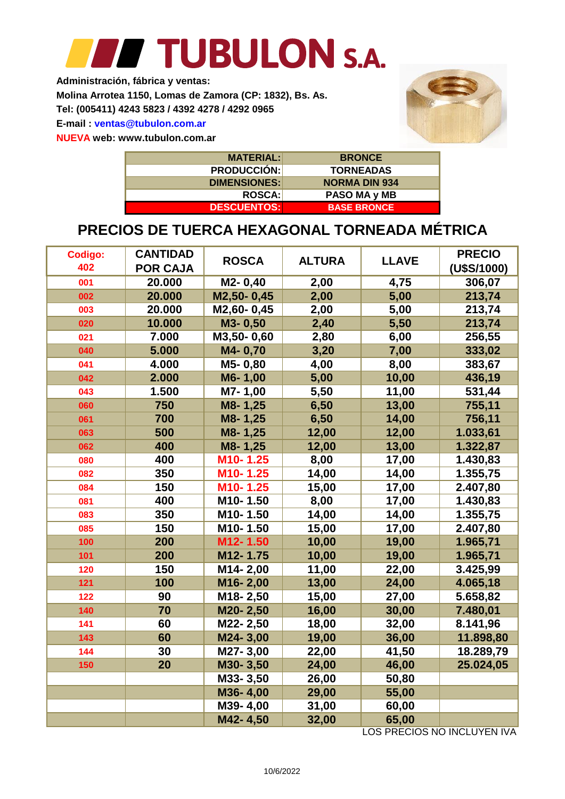**Administración, fábrica y ventas:**

**Molina Arrotea 1150, Lomas de Zamora (CP: 1832), Bs. As.**

**Tel: (005411) 4243 5823 / 4392 4278 / 4292 0965**

**E-mail : ventas@tubulon.com.ar**

**NUEVA web: www.tubulon.com.ar**



| <b>MATERIAL:</b>    | <b>BRONCE</b>        |
|---------------------|----------------------|
| <b>PRODUCCIÓN:</b>  | <b>TORNEADAS</b>     |
| <b>DIMENSIONES:</b> | <b>NORMA DIN 934</b> |
| <b>ROSCA:</b>       | PASO MA y MB         |
| <b>DESCUENTOS:</b>  | <b>BASE BRONCE</b>   |

### **PRECIOS DE TUERCA HEXAGONAL TORNEADA MÉTRICA**

| Codigo: | <b>CANTIDAD</b> | <b>ROSCA</b> | <b>ALTURA</b> | <b>LLAVE</b> | <b>PRECIO</b> |
|---------|-----------------|--------------|---------------|--------------|---------------|
| 402     | <b>POR CAJA</b> |              |               |              | (U\$S/1000)   |
| 001     | 20.000          | M2-0,40      | 2,00          | 4,75         | 306,07        |
| 002     | 20.000          | M2,50-0,45   | 2,00          | 5,00         | 213,74        |
| 003     | 20.000          | M2,60-0,45   | 2,00          | 5,00         | 213,74        |
| 020     | 10.000          | M3-0,50      | 2,40          | 5,50         | 213,74        |
| 021     | 7.000           | M3,50-0,60   | 2,80          | 6,00         | 256,55        |
| 040     | 5.000           | M4-0,70      | 3,20          | 7,00         | 333,02        |
| 041     | 4.000           | M5-0,80      | 4,00          | 8,00         | 383,67        |
| 042     | 2.000           | M6-1,00      | 5,00          | 10,00        | 436,19        |
| 043     | 1.500           | M7-1,00      | 5,50          | 11,00        | 531,44        |
| 060     | 750             | M8-1,25      | 6,50          | 13,00        | 755,11        |
| 061     | 700             | M8-1,25      | 6,50          | 14,00        | 756,11        |
| 063     | 500             | M8-1,25      | 12,00         | 12,00        | 1.033,61      |
| 062     | 400             | M8-1,25      | 12,00         | 13,00        | 1.322,87      |
| 080     | 400             | M10-1.25     | 8,00          | 17,00        | 1.430,83      |
| 082     | 350             | M10-1.25     | 14,00         | 14,00        | 1.355,75      |
| 084     | 150             | M10-1.25     | 15,00         | 17,00        | 2.407,80      |
| 081     | 400             | M10-1.50     | 8,00          | 17,00        | 1.430,83      |
| 083     | 350             | M10-1.50     | 14,00         | 14,00        | 1.355,75      |
| 085     | 150             | M10-1.50     | 15,00         | 17,00        | 2.407,80      |
| 100     | 200             | M12-1.50     | 10,00         | 19,00        | 1.965,71      |
| 101     | 200             | M12-1.75     | 10,00         | 19,00        | 1.965,71      |
| 120     | 150             | M14-2,00     | 11,00         | 22,00        | 3.425,99      |
| 121     | 100             | M16-2,00     | 13,00         | 24,00        | 4.065,18      |
| 122     | 90              | M18-2,50     | 15,00         | 27,00        | 5.658,82      |
| 140     | 70              | M20-2,50     | 16,00         | 30,00        | 7.480,01      |
| 141     | 60              | M22-2,50     | 18,00         | 32,00        | 8.141,96      |
| 143     | 60              | M24-3,00     | 19,00         | 36,00        | 11.898,80     |
| 144     | 30              | M27-3,00     | 22,00         | 41,50        | 18.289,79     |
| 150     | 20              | M30-3,50     | 24,00         | 46,00        | 25.024,05     |
|         |                 | M33-3,50     | 26,00         | 50,80        |               |
|         |                 | M36-4,00     | 29,00         | 55,00        |               |
|         |                 | M39-4,00     | 31,00         | 60,00        |               |
|         |                 | M42-4,50     | 32,00         | 65,00        |               |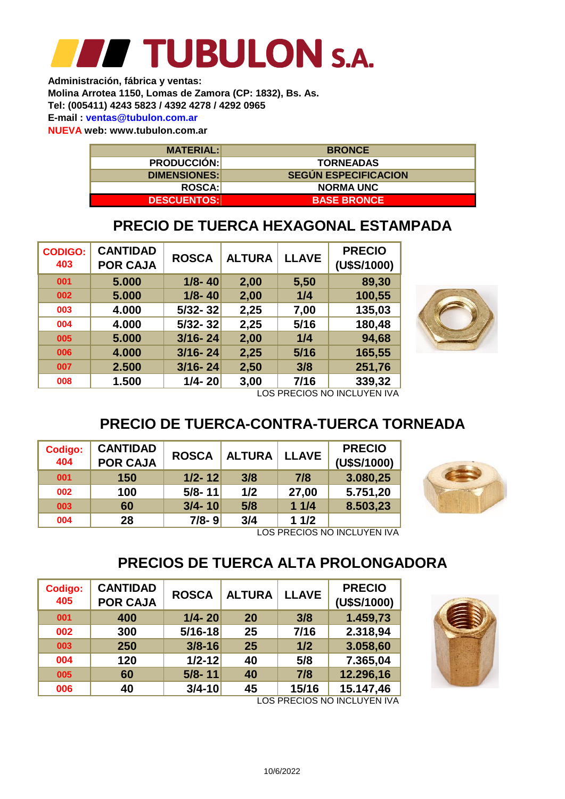**NUEVA web: www.tubulon.com.ar Administración, fábrica y ventas: Molina Arrotea 1150, Lomas de Zamora (CP: 1832), Bs. As. Tel: (005411) 4243 5823 / 4392 4278 / 4292 0965 E-mail : ventas@tubulon.com.ar**

> **MATERIAL: DESCUENTOS: DIMENSIONES: ROSCA: PRODUCCIÓN: BASE BRONCE NORMA UNC SEGÚN ESPECIFICACION TORNEADAS BRONCE**

### **PRECIO DE TUERCA HEXAGONAL ESTAMPADA**

| <b>CODIGO:</b><br>403 | <b>CANTIDAD</b><br><b>POR CAJA</b> | <b>ROSCA</b> | <b>ALTURA</b> | <b>LLAVE</b> | <b>PRECIO</b><br>(U\$S/1000) |  |  |  |
|-----------------------|------------------------------------|--------------|---------------|--------------|------------------------------|--|--|--|
| 001                   | 5.000                              | $1/8 - 40$   | 2,00          | 5,50         | 89,30                        |  |  |  |
| 002                   | 5.000                              | $1/8 - 40$   | 2,00          | 1/4          | 100,55                       |  |  |  |
| 003                   | 4.000                              | $5/32 - 32$  | 2,25          | 7,00         | 135,03                       |  |  |  |
| 004                   | 4.000                              | $5/32 - 32$  | 2,25          | $5/16$       | 180,48                       |  |  |  |
| 005                   | 5.000                              | $3/16 - 24$  | 2,00          | 1/4          | 94,68                        |  |  |  |
| 006                   | 4.000                              | $3/16 - 24$  | 2,25          | $5/16$       | 165,55                       |  |  |  |
| 007                   | 2.500                              | $3/16 - 24$  | 2,50          | 3/8          | 251,76                       |  |  |  |
| 008                   | 1.500                              | $1/4 - 20$   | 3,00          | 7/16         | 339,32                       |  |  |  |
|                       | I UG DBEGIUG NU INIGI I IAEN INY   |              |               |              |                              |  |  |  |



LOS PRECIOS NO INCLUYEN IVA

### **PRECIO DE TUERCA-CONTRA-TUERCA TORNEADA**

| <b>Codigo:</b><br>404 | <b>CANTIDAD</b><br><b>POR CAJA</b> | <b>ROSCA</b> | <b>ALTURA</b> | <b>LLAVE</b> | <b>PRECIO</b><br>(U\$S/1000) |
|-----------------------|------------------------------------|--------------|---------------|--------------|------------------------------|
| 001                   | 150                                | $1/2 - 12$   | 3/8           | 7/8          | 3.080,25                     |
| 002                   | 100                                | $5/8 - 11$   | 1/2           | 27,00        | 5.751,20                     |
| 003                   | 60                                 | $3/4 - 10$   | 5/8           | 11/4         | 8.503,23                     |
| 004                   | 28                                 | $7/8 - 9$    | 3/4           | 11/2         |                              |



LOS PRECIOS NO INCLUYEN IVA

### **PRECIOS DE TUERCA ALTA PROLONGADORA**

| Codigo:<br>405 | <b>CANTIDAD</b><br><b>POR CAJA</b> | <b>ROSCA</b> | <b>ALTURA</b> | <b>LLAVE</b> | <b>PRECIO</b><br>(U\$S/1000) |
|----------------|------------------------------------|--------------|---------------|--------------|------------------------------|
| 001            | 400                                | $1/4 - 20$   | 20            | 3/8          | 1.459,73                     |
| 002            | 300                                | $5/16 - 18$  | 25            | 7/16         | 2.318,94                     |
| 003            | 250                                | $3/8 - 16$   | 25            | 1/2          | 3.058,60                     |
| 004            | 120                                | $1/2 - 12$   | 40            | 5/8          | 7.365,04                     |
| 005            | 60                                 | $5/8 - 11$   | 40            | 7/8          | 12.296,16                    |
| 006            | 40                                 | $3/4 - 10$   | 45            | 15/16        | 15.147,46                    |

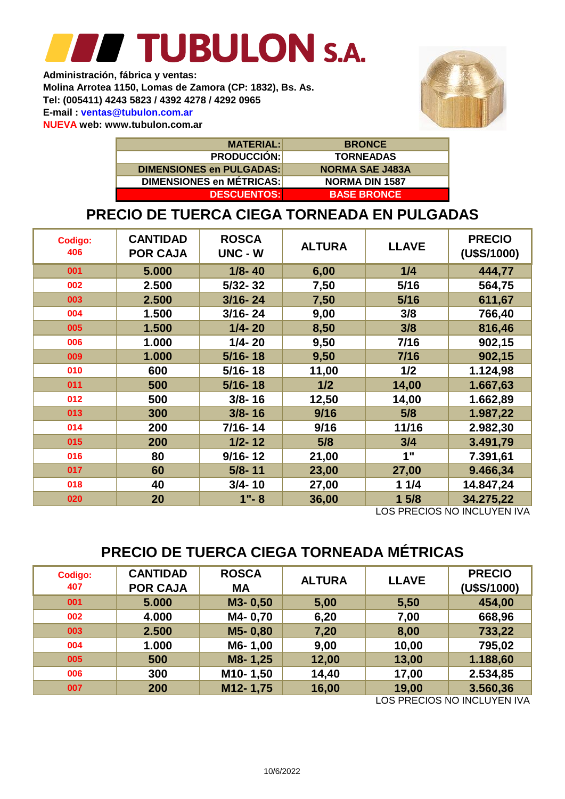**Administración, fábrica y ventas: Molina Arrotea 1150, Lomas de Zamora (CP: 1832), Bs. As. Tel: (005411) 4243 5823 / 4392 4278 / 4292 0965 E-mail : ventas@tubulon.com.ar NUEVA web: www.tubulon.com.ar**



| <b>MATERIAL:</b>                | <b>BRONCE</b>          |
|---------------------------------|------------------------|
| <b>PRODUCCIÓN:</b>              | <b>TORNEADAS</b>       |
| DIMENSIONES en PULGADAS:        | <b>NORMA SAE J483A</b> |
| <b>DIMENSIONES en MÉTRICAS:</b> | <b>NORMA DIN 1587</b>  |
| <b>DESCUENTOS:</b>              | <b>BASE BRONCE</b>     |

### **PRECIO DE TUERCA CIEGA TORNEADA EN PULGADAS**

| <b>Codigo:</b><br>406 | <b>CANTIDAD</b><br><b>POR CAJA</b> | <b>ROSCA</b><br>UNC - W | <b>ALTURA</b> | <b>LLAVE</b> | <b>PRECIO</b><br>(U\$S/1000) |
|-----------------------|------------------------------------|-------------------------|---------------|--------------|------------------------------|
| 001                   | 5.000                              | $1/8 - 40$              | 6,00          | 1/4          | 444,77                       |
| 002                   | 2.500                              | $5/32 - 32$             | 7,50          | 5/16         | 564,75                       |
| 003                   | 2.500                              | $3/16 - 24$             | 7,50          | 5/16         | 611,67                       |
| 004                   | 1.500                              | $3/16 - 24$             | 9,00          | 3/8          | 766,40                       |
| 005                   | 1.500                              | $1/4 - 20$              | 8,50          | 3/8          | 816,46                       |
| 006                   | 1.000                              | $1/4 - 20$              | 9,50          | 7/16         | 902,15                       |
| 009                   | 1.000                              | $5/16 - 18$             | 9,50          | 7/16         | 902,15                       |
| 010                   | 600                                | $5/16 - 18$             | 11,00         | 1/2          | 1.124,98                     |
| 011                   | 500                                | $5/16 - 18$             | 1/2           | 14,00        | 1.667,63                     |
| 012                   | 500                                | $3/8 - 16$              | 12,50         | 14,00        | 1.662,89                     |
| 013                   | 300                                | $3/8 - 16$              | 9/16          | 5/8          | 1.987,22                     |
| 014                   | 200                                | $7/16 - 14$             | 9/16          | 11/16        | 2.982,30                     |
| 015                   | 200                                | $1/2 - 12$              | 5/8           | 3/4          | 3.491,79                     |
| 016                   | 80                                 | $9/16 - 12$             | 21,00         | 1"           | 7.391,61                     |
| 017                   | 60                                 | $5/8 - 11$              | 23,00         | 27,00        | 9.466,34                     |
| 018                   | 40                                 | $3/4 - 10$              | 27,00         | 11/4         | 14.847,24                    |
| 020                   | 20                                 | $1 - 8$                 | 36,00         | 15/8         | 34.275,22                    |

LOS PRECIOS NO INCLUYEN IVA

### **PRECIO DE TUERCA CIEGA TORNEADA MÉTRICAS**

| <b>Codigo:</b><br>407 | <b>CANTIDAD</b><br><b>POR CAJA</b> | <b>ROSCA</b><br><b>MA</b> | <b>ALTURA</b> | <b>LLAVE</b> | <b>PRECIO</b><br>(U\$S/1000) |
|-----------------------|------------------------------------|---------------------------|---------------|--------------|------------------------------|
| 001                   | 5.000                              | M3-0,50                   | 5,00          | 5,50         | 454,00                       |
| 002                   | 4.000                              | M4-0,70                   | 6,20          | 7,00         | 668,96                       |
| 003                   | 2.500                              | M5-0,80                   | 7,20          | 8,00         | 733,22                       |
| 004                   | 1.000                              | M6-1,00                   | 9,00          | 10,00        | 795,02                       |
| 005                   | 500                                | M8-1,25                   | 12,00         | 13,00        | 1.188,60                     |
| 006                   | 300                                | M <sub>10</sub> -1,50     | 14,40         | 17,00        | 2.534,85                     |
| 007                   | 200                                | M12-1,75                  | 16,00         | 19,00        | 3.560,36                     |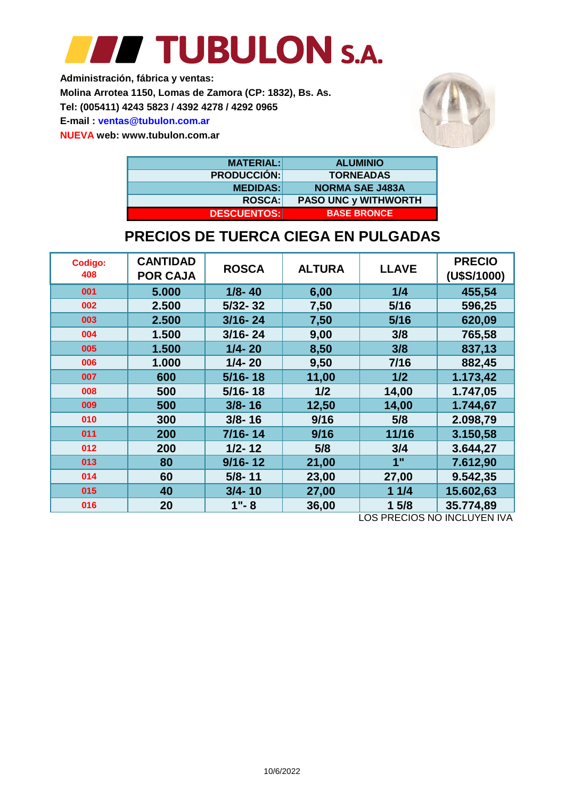## **FFIT TUBULON S.A.**

**Administración, fábrica y ventas: Molina Arrotea 1150, Lomas de Zamora (CP: 1832), Bs. As. Tel: (005411) 4243 5823 / 4392 4278 / 4292 0965 E-mail : ventas@tubulon.com.ar NUEVA web: www.tubulon.com.ar**



| <b>MATERIAL:</b>   | <b>ALUMINIO</b>             |
|--------------------|-----------------------------|
| <b>PRODUCCIÓN:</b> | <b>TORNEADAS</b>            |
| <b>MEDIDAS:</b>    | <b>NORMA SAE J483A</b>      |
| <b>ROSCA:</b>      | <b>PASO UNC y WITHWORTH</b> |
| <b>DESCUENTOS:</b> | <b>BASE BRONCE</b>          |

#### **PRECIOS DE TUERCA CIEGA EN PULGADAS**

| Codigo:<br>408 | <b>CANTIDAD</b><br><b>POR CAJA</b> | <b>ROSCA</b> | <b>ALTURA</b> | <b>LLAVE</b> | <b>PRECIO</b><br>(U\$S/1000) |  |  |  |  |
|----------------|------------------------------------|--------------|---------------|--------------|------------------------------|--|--|--|--|
| 001            | 5.000                              | $1/8 - 40$   | 6,00          | 1/4          | 455,54                       |  |  |  |  |
| 002            | 2.500                              | $5/32 - 32$  | 7,50          | 5/16         | 596,25                       |  |  |  |  |
| 003            | 2.500                              | $3/16 - 24$  | 7,50          | 5/16         | 620,09                       |  |  |  |  |
| 004            | 1.500                              | $3/16 - 24$  | 9,00          | 3/8          | 765,58                       |  |  |  |  |
| 005            | 1.500                              | $1/4 - 20$   | 8,50          | 3/8          | 837,13                       |  |  |  |  |
| 006            | 1.000                              | $1/4 - 20$   | 9,50          | 7/16         | 882,45                       |  |  |  |  |
| 007            | 600                                | $5/16 - 18$  | 11,00         | 1/2          | 1.173,42                     |  |  |  |  |
| 008            | 500                                | $5/16 - 18$  | 1/2           | 14,00        | 1.747,05                     |  |  |  |  |
| 009            | 500                                | $3/8 - 16$   | 12,50         | 14,00        | 1.744,67                     |  |  |  |  |
| 010            | 300                                | $3/8 - 16$   | 9/16          | 5/8          | 2.098,79                     |  |  |  |  |
| 011            | 200                                | 7/16-14      | 9/16          | 11/16        | 3.150,58                     |  |  |  |  |
| 012            | 200                                | $1/2 - 12$   | 5/8           | 3/4          | 3.644,27                     |  |  |  |  |
| 013            | 80                                 | $9/16 - 12$  | 21,00         | 1"           | 7.612,90                     |  |  |  |  |
| 014            | 60                                 | $5/8 - 11$   | 23,00         | 27,00        | 9.542,35                     |  |  |  |  |
| 015            | 40                                 | $3/4 - 10$   | 27,00         | 11/4         | 15.602,63                    |  |  |  |  |
| 016            | 20                                 | $1 - 8$      | 36,00         | 15/8         | 35.774,89                    |  |  |  |  |
|                | LOS PRECIOS NO INCLUYEN IVA        |              |               |              |                              |  |  |  |  |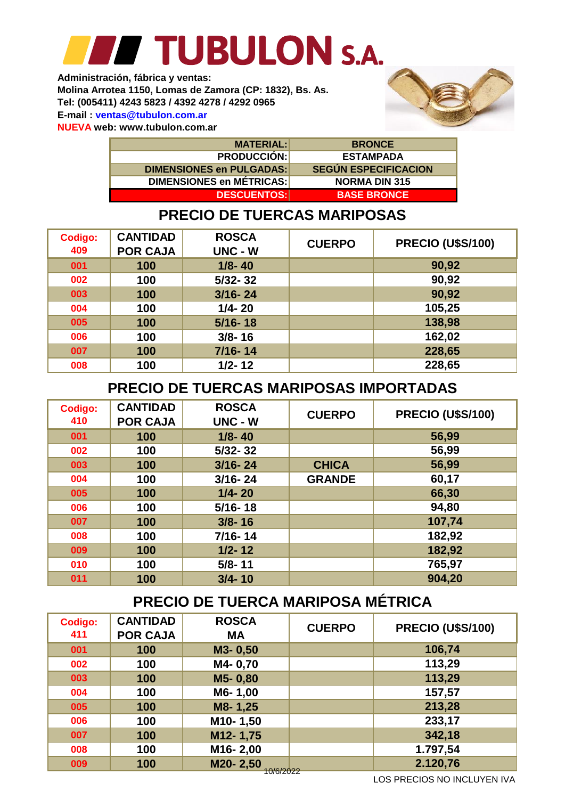**NUEVA web: www.tubulon.com.ar Administración, fábrica y ventas: Molina Arrotea 1150, Lomas de Zamora (CP: 1832), Bs. As. Tel: (005411) 4243 5823 / 4392 4278 / 4292 0965 E-mail : ventas@tubulon.com.ar**



| <b>MATERIAL:</b>                | <b>BRONCE</b>               |
|---------------------------------|-----------------------------|
| <b>PRODUCCIÓN:</b>              | <b>ESTAMPADA</b>            |
| <b>DIMENSIONES en PULGADAS:</b> | <b>SEGUN ESPECIFICACION</b> |
| <b>DIMENSIONES en MÉTRICAS:</b> | <b>NORMA DIN 315</b>        |
| <b>DESCUENTOS:</b>              | <u>I BASE BRONCE </u>       |

### **PRECIO DE TUERCAS MARIPOSAS**

| <b>Codigo:</b><br>409 | <b>CANTIDAD</b><br><b>POR CAJA</b> | <b>ROSCA</b><br><b>UNC - W</b> | <b>CUERPO</b> | <b>PRECIO (U\$S/100)</b> |
|-----------------------|------------------------------------|--------------------------------|---------------|--------------------------|
| 001                   | 100                                | $1/8 - 40$                     |               | 90,92                    |
| 002                   | 100                                | $5/32 - 32$                    |               | 90,92                    |
| 003                   | 100                                | $3/16 - 24$                    |               | 90,92                    |
| 004                   | 100                                | $1/4 - 20$                     |               | 105,25                   |
| 005                   | 100                                | $5/16 - 18$                    |               | 138,98                   |
| 006                   | 100                                | $3/8 - 16$                     |               | 162,02                   |
| 007                   | 100                                | $7/16 - 14$                    |               | 228,65                   |
| 008                   | 100                                | $1/2 - 12$                     |               | 228,65                   |

#### **PRECIO DE TUERCAS MARIPOSAS IMPORTADAS**

| <b>Codigo:</b><br>410 | <b>CANTIDAD</b><br><b>POR CAJA</b> | <b>ROSCA</b><br>UNC - W | <b>CUERPO</b> | <b>PRECIO (U\$S/100)</b> |
|-----------------------|------------------------------------|-------------------------|---------------|--------------------------|
| 001                   | 100                                | $1/8 - 40$              |               | 56,99                    |
| 002                   | 100                                | $5/32 - 32$             |               | 56,99                    |
| 003                   | 100                                | $3/16 - 24$             | <b>CHICA</b>  | 56,99                    |
| 004                   | 100                                | $3/16 - 24$             | <b>GRANDE</b> | 60,17                    |
| 005                   | 100                                | $1/4 - 20$              |               | 66,30                    |
| 006                   | 100                                | $5/16 - 18$             |               | 94,80                    |
| 007                   | 100                                | $3/8 - 16$              |               | 107,74                   |
| 008                   | 100                                | $7/16 - 14$             |               | 182,92                   |
| 009                   | 100                                | $1/2 - 12$              |               | 182,92                   |
| 010                   | 100                                | $5/8 - 11$              |               | 765,97                   |
| 011                   | 100                                | $3/4 - 10$              |               | 904,20                   |

### **PRECIO DE TUERCA MARIPOSA MÉTRICA**

| <b>Codigo:</b> | <b>CANTIDAD</b> | <b>ROSCA</b>          | <b>CUERPO</b> | <b>PRECIO (U\$S/100)</b> |
|----------------|-----------------|-----------------------|---------------|--------------------------|
| 411            | <b>POR CAJA</b> | <b>MA</b>             |               |                          |
| 001            | 100             | M3-0,50               |               | 106,74                   |
| 002            | 100             | M4-0,70               |               | 113,29                   |
| 003            | 100             | M5-0,80               |               | 113,29                   |
| 004            | 100             | M6-1,00               |               | 157,57                   |
| 005            | 100             | M8-1,25               |               | 213,28                   |
| 006            | 100             | M10-1,50              |               | 233,17                   |
| 007            | 100             | M12-1,75              |               | 342,18                   |
| 008            | 100             | M16-2,00              |               | 1.797,54                 |
| 009            | 100             | M20-2,50<br>10/6/2022 |               | 2.120,76                 |
|                |                 |                       |               |                          |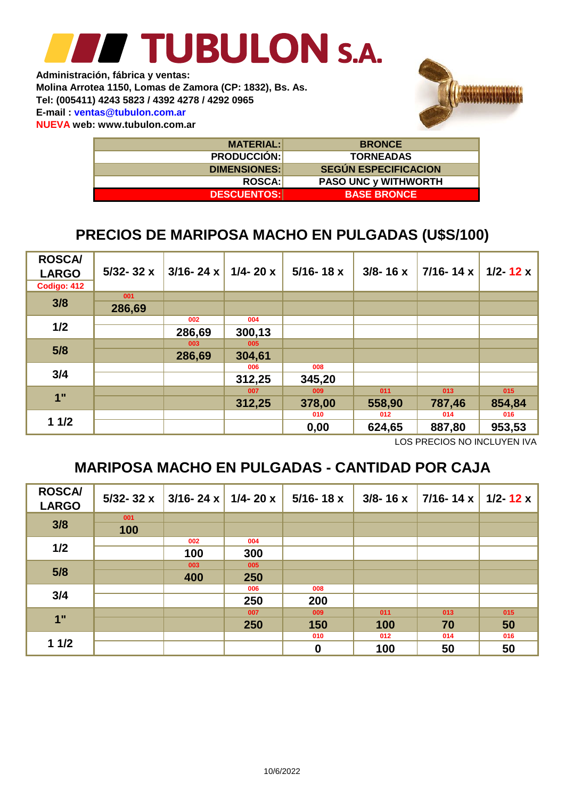**NUEVA web: www.tubulon.com.ar E-mail : ventas@tubulon.com.ar Tel: (005411) 4243 5823 / 4392 4278 / 4292 0965 Molina Arrotea 1150, Lomas de Zamora (CP: 1832), Bs. As. Administración, fábrica y ventas:**



| <b>MATERIAL:</b>    | <b>BRONCE</b>               |
|---------------------|-----------------------------|
| <b>PRODUCCIÓN:</b>  | <b>TORNEADAS</b>            |
| <b>DIMENSIONES:</b> | <b>SEGUN ESPECIFICACION</b> |
| <b>ROSCA:</b>       | <b>PASO UNC y WITHWORTH</b> |
| <b>DESCUENTOS:</b>  | <b>BASE BRONCE</b>          |

### **PRECIOS DE MARIPOSA MACHO EN PULGADAS (U\$S/100)**

| <b>ROSCA/</b><br><b>LARGO</b><br>Codigo: 412 | $5/32 - 32x$ | $3/16 - 24x$ | $1/4 - 20x$ | $5/16 - 18x$ | $3/8 - 16x$ | $7/16 - 14x$ | $1/2 - 12x$ |
|----------------------------------------------|--------------|--------------|-------------|--------------|-------------|--------------|-------------|
|                                              | 001          |              |             |              |             |              |             |
| 3/8                                          | 286,69       |              |             |              |             |              |             |
|                                              |              | 002          | 004         |              |             |              |             |
| 1/2                                          |              | 286,69       | 300,13      |              |             |              |             |
|                                              |              | 003          | 005         |              |             |              |             |
| 5/8                                          |              | 286,69       | 304,61      |              |             |              |             |
|                                              |              |              | 006         | 008          |             |              |             |
| 3/4                                          |              |              | 312,25      | 345,20       |             |              |             |
|                                              |              |              | 007         | 009          | 011         | 013          | 015         |
| 1"                                           |              |              | 312,25      | 378,00       | 558,90      | 787,46       | 854,84      |
|                                              |              |              |             | 010          | 012         | 014          | 016         |
| 11/2                                         |              |              |             | 0,00         | 624,65      | 887,80       | 953,53      |

LOS PRECIOS NO INCLUYEN IVA

### **MARIPOSA MACHO EN PULGADAS - CANTIDAD POR CAJA**

| <b>ROSCA/</b><br><b>LARGO</b> | $5/32 - 32x$ | $3/16 - 24 \times 1/4 - 20 \times$ |     | $5/16 - 18x$     | $3/8 - 16x$ | $7/16 - 14x$ | 1/2-12 $\times$ |
|-------------------------------|--------------|------------------------------------|-----|------------------|-------------|--------------|-----------------|
|                               | 001          |                                    |     |                  |             |              |                 |
| 3/8                           | 100          |                                    |     |                  |             |              |                 |
|                               |              | 002                                | 004 |                  |             |              |                 |
| 1/2                           |              | 100                                | 300 |                  |             |              |                 |
|                               |              | 003                                | 005 |                  |             |              |                 |
| 5/8                           |              | 400                                | 250 |                  |             |              |                 |
|                               |              |                                    | 006 | 008              |             |              |                 |
| 3/4                           |              |                                    | 250 | 200              |             |              |                 |
|                               |              |                                    | 007 | 009              | 011         | 013          | 015             |
| 1"                            |              |                                    | 250 | 150              | 100         | 70           | 50              |
|                               |              |                                    |     | 010              | 012         | 014          | 016             |
| 11/2                          |              |                                    |     | $\boldsymbol{0}$ | 100         | 50           | 50              |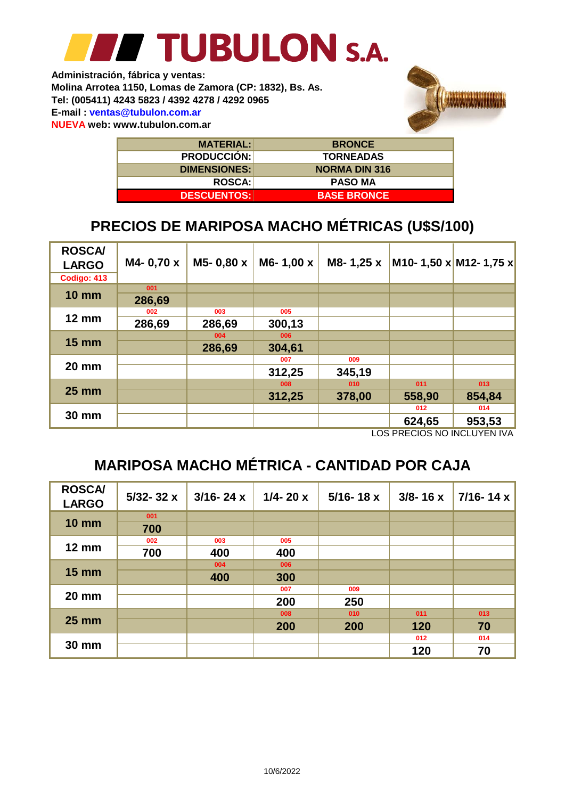**NUEVA web: www.tubulon.com.ar Administración, fábrica y ventas: Molina Arrotea 1150, Lomas de Zamora (CP: 1832), Bs. As. Tel: (005411) 4243 5823 / 4392 4278 / 4292 0965 E-mail : ventas@tubulon.com.ar**



| <b>MATERIAL:</b>    | <b>BRONCE</b>        |
|---------------------|----------------------|
| <b>PRODUCCIÓN:</b>  | <b>TORNEADAS</b>     |
| <b>DIMENSIONES:</b> | <b>NORMA DIN 316</b> |
| <b>ROSCA:</b>       | <b>PASO MA</b>       |
| <b>DESCUENTOS:</b>  | <b>BASE BRONCE</b>   |

### **PRECIOS DE MARIPOSA MACHO MÉTRICAS (U\$S/100)**

| <b>ROSCA/</b><br><b>LARGO</b> | M4-0,70 x | M5-0,80 x | M6-1,00 x | M8-1,25 x | M10- 1,50 x M12- 1,75 x                                                                                                                                                                                                                                                                                                                                                                        |        |
|-------------------------------|-----------|-----------|-----------|-----------|------------------------------------------------------------------------------------------------------------------------------------------------------------------------------------------------------------------------------------------------------------------------------------------------------------------------------------------------------------------------------------------------|--------|
| Codigo: 413                   |           |           |           |           |                                                                                                                                                                                                                                                                                                                                                                                                |        |
| <b>10 mm</b>                  | 001       |           |           |           |                                                                                                                                                                                                                                                                                                                                                                                                |        |
|                               | 286,69    |           |           |           |                                                                                                                                                                                                                                                                                                                                                                                                |        |
|                               | 002       | 003       | 005       |           |                                                                                                                                                                                                                                                                                                                                                                                                |        |
| $12 \text{ mm}$               | 286,69    | 286,69    | 300,13    |           |                                                                                                                                                                                                                                                                                                                                                                                                |        |
|                               |           | 004       | 006       |           |                                                                                                                                                                                                                                                                                                                                                                                                |        |
| $15 \text{ mm}$               |           | 286,69    | 304,61    |           |                                                                                                                                                                                                                                                                                                                                                                                                |        |
|                               |           |           | 007       | 009       |                                                                                                                                                                                                                                                                                                                                                                                                |        |
| <b>20 mm</b>                  |           |           | 312,25    | 345,19    |                                                                                                                                                                                                                                                                                                                                                                                                |        |
|                               |           |           | 008       | 010       | 011                                                                                                                                                                                                                                                                                                                                                                                            | 013    |
| <b>25 mm</b>                  |           |           | 312,25    | 378,00    | 558,90                                                                                                                                                                                                                                                                                                                                                                                         | 854,84 |
|                               |           |           |           |           | 012                                                                                                                                                                                                                                                                                                                                                                                            | 014    |
| <b>30 mm</b>                  |           |           |           |           | 624,65<br>$\overline{1}$ $\overline{0}$ $\overline{0}$ $\overline{0}$ $\overline{0}$ $\overline{0}$ $\overline{0}$ $\overline{0}$ $\overline{0}$ $\overline{0}$ $\overline{0}$ $\overline{0}$ $\overline{0}$ $\overline{0}$ $\overline{0}$ $\overline{0}$ $\overline{0}$ $\overline{0}$ $\overline{0}$ $\overline{0}$ $\overline{0}$ $\overline{0}$ $\overline{0}$ $\overline{0}$ $\overline{$ | 953,53 |

LOS PRECIOS NO INCLUYEN IVA

### **MARIPOSA MACHO MÉTRICA - CANTIDAD POR CAJA**

| <b>ROSCA/</b><br><b>LARGO</b> | $5/32 - 32x$ | $3/16 - 24x$ | $1/4 - 20x$ | $5/16 - 18x$ | $3/8 - 16x$ | $7/16 - 14x$ |
|-------------------------------|--------------|--------------|-------------|--------------|-------------|--------------|
| <b>10 mm</b>                  | 001          |              |             |              |             |              |
|                               | 700          |              |             |              |             |              |
|                               | 002          | 003          | 005         |              |             |              |
| $12 \text{ mm}$               | 700          | 400          | 400         |              |             |              |
|                               |              | 004          | 006         |              |             |              |
| <b>15 mm</b>                  |              | 400          | 300         |              |             |              |
|                               |              |              | 007         | 009          |             |              |
| <b>20 mm</b>                  |              |              | 200         | 250          |             |              |
|                               |              |              | 008         | 010          | 011         | 013          |
| $25 \, \text{mm}$             |              |              | 200         | 200          | 120         | 70           |
|                               |              |              |             |              | 012         | 014          |
| <b>30 mm</b>                  |              |              |             |              | 120         | 70           |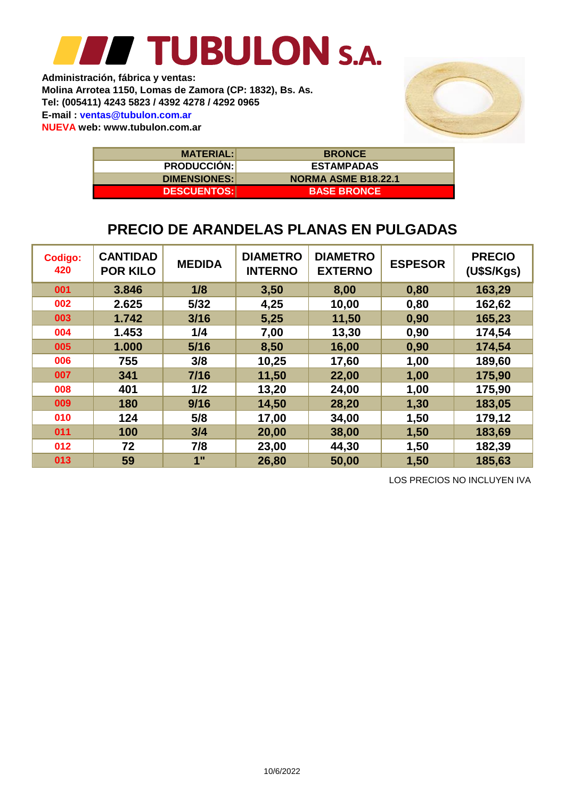**Molina Arrotea 1150, Lomas de Zamora (CP: 1832), Bs. As. Tel: (005411) 4243 5823 / 4392 4278 / 4292 0965 E-mail : ventas@tubulon.com.ar Administración, fábrica y ventas: NUEVA web: www.tubulon.com.ar**



| <b>MATERIAL:</b>    | <b>BRONCE</b>              |
|---------------------|----------------------------|
| <b>PRODUCCION:</b>  | <b>ESTAMPADAS</b>          |
| <b>DIMENSIONES:</b> | <b>NORMA ASME B18.22.1</b> |
| <b>DESCUENTOS:</b>  | <b>BASE BRONCE</b>         |

#### **PRECIO DE ARANDELAS PLANAS EN PULGADAS**

| <b>Codigo:</b><br>420 | <b>CANTIDAD</b><br><b>POR KILO</b> | <b>MEDIDA</b> | <b>DIAMETRO</b><br><b>INTERNO</b> | <b>DIAMETRO</b><br><b>EXTERNO</b> | <b>ESPESOR</b> | <b>PRECIO</b><br>(U\$S/Kgs) |
|-----------------------|------------------------------------|---------------|-----------------------------------|-----------------------------------|----------------|-----------------------------|
| 001                   | 3.846                              | 1/8           | 3,50                              | 8,00                              | 0,80           | 163,29                      |
| 002                   | 2.625                              | 5/32          | 4,25                              | 10,00                             | 0,80           | 162,62                      |
| 003                   | 1.742                              | 3/16          | 5,25                              | 11,50                             | 0,90           | 165,23                      |
| 004                   | 1.453                              | 1/4           | 7,00                              | 13,30                             | 0,90           | 174,54                      |
| 005                   | 1.000                              | 5/16          | 8,50                              | 16,00                             | 0,90           | 174,54                      |
| 006                   | 755                                | 3/8           | 10,25                             | 17,60                             | 1,00           | 189,60                      |
| 007                   | 341                                | $7/16$        | 11,50                             | 22,00                             | 1,00           | 175,90                      |
| 008                   | 401                                | 1/2           | 13,20                             | 24,00                             | 1,00           | 175,90                      |
| 009                   | 180                                | 9/16          | 14,50                             | 28,20                             | 1,30           | 183,05                      |
| 010                   | 124                                | 5/8           | 17,00                             | 34,00                             | 1,50           | 179,12                      |
| 011                   | 100                                | 3/4           | 20,00                             | 38,00                             | 1,50           | 183,69                      |
| 012                   | 72                                 | 7/8           | 23,00                             | 44,30                             | 1,50           | 182,39                      |
| 013                   | 59                                 | 1"            | 26,80                             | 50,00                             | 1,50           | 185,63                      |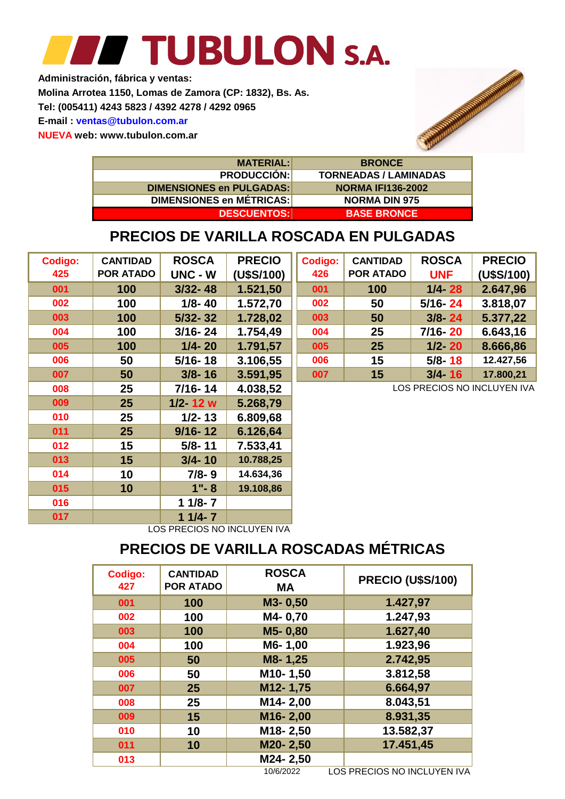**Administración, fábrica y ventas: NUEVA web: www.tubulon.com.ar E-mail : ventas@tubulon.com.ar Tel: (005411) 4243 5823 / 4392 4278 / 4292 0965 Molina Arrotea 1150, Lomas de Zamora (CP: 1832), Bs. As.**



**BASE BRONCE BRONCE DESCUENTOS: DIMENSIONES en MÉTRICAS: DIMENSIONES en PULGADAS: PRODUCCIÓN: MATERIAL: NORMA DIN 975 NORMA IFI136-2002 TORNEADAS / LAMINADAS**

### **PRECIOS DE VARILLA ROSCADA EN PULGADAS**

| <b>Codigo:</b> | <b>CANTIDAD</b>  | <b>ROSCA</b> | <b>PRECIO</b> | <b>Codigo:</b> | <b>CANTIDAD</b>  | <b>ROSCA</b>               | <b>PRECIO</b> |
|----------------|------------------|--------------|---------------|----------------|------------------|----------------------------|---------------|
| 425            | <b>POR ATADO</b> | UNC - W      | (U\$S/100)    | 426            | <b>POR ATADO</b> | <b>UNF</b>                 | (U\$S/100)    |
| 001            | 100              | $3/32 - 48$  | 1.521,50      | 001            | 100              | $1/4 - 28$                 | 2.647,96      |
| 002            | 100              | $1/8 - 40$   | 1.572,70      | 002            | 50               | $5/16 - 24$                | 3.818,07      |
| 003            | 100              | $5/32 - 32$  | 1.728,02      | 003            | 50               | $3/8 - 24$                 | 5.377,22      |
| 004            | 100              | $3/16 - 24$  | 1.754,49      | 004            | 25               | $7/16 - 20$                | 6.643,16      |
| 005            | 100              | $1/4 - 20$   | 1.791,57      | 005            | 25               | $1/2 - 20$                 | 8.666,86      |
| 006            | 50               | $5/16 - 18$  | 3.106,55      | 006            | 15               | $5/8 - 18$                 | 12.427,56     |
| 007            | 50               | $3/8 - 16$   | 3.591,95      | 007            | 15               | $3/4 - 16$                 | 17.800,21     |
| 008            | 25               | 7/16-14      | 4.038,52      |                |                  | LOS PRECIOS NO INCLUYEN IV |               |
| 009            | 25               | $1/2 - 12$ w | 5.268,79      |                |                  |                            |               |
| 010            | 25               | $1/2 - 13$   | 6.809,68      |                |                  |                            |               |
| 011            | 25               | $9/16 - 12$  | 6.126,64      |                |                  |                            |               |
| 012            | 15               | $5/8 - 11$   | 7.533,41      |                |                  |                            |               |
| 013            | 15               | $3/4 - 10$   | 10.788,25     |                |                  |                            |               |
| 014            | 10               | $7/8 - 9$    | 14.634,36     |                |                  |                            |               |
| 015            | 10               | $1" - 8$     | 19.108,86     |                |                  |                            |               |
| 016            |                  | $11/8 - 7$   |               |                |                  |                            |               |
| 017            |                  | $11/4 - 7$   |               |                |                  |                            |               |

LOS PRECIOS NO INCLUYEN IVA

### **PRECIOS DE VARILLA ROSCADAS MÉTRICAS**

| Codigo:<br>427 | <b>CANTIDAD</b><br><b>POR ATADO</b> | <b>ROSCA</b><br><b>MA</b> | <b>PRECIO (U\$S/100)</b> |
|----------------|-------------------------------------|---------------------------|--------------------------|
| 001            | 100                                 | M3-0,50                   | 1.427,97                 |
| 002            | 100                                 | M4-0,70                   | 1.247,93                 |
| 003            | 100                                 | M5-0,80                   | 1.627,40                 |
| 004            | 100                                 | M6-1,00                   | 1.923,96                 |
| 005            | 50                                  | M8-1,25                   | 2.742,95                 |
| 006            | 50                                  | M10-1,50                  | 3.812,58                 |
| 007            | 25                                  | M12-1,75                  | 6.664,97                 |
| 008            | 25                                  | M14-2,00                  | 8.043,51                 |
| 009            | 15                                  | M16-2,00                  | 8.931,35                 |
| 010            | 10                                  | M18-2,50                  | 13.582,37                |
| 011            | 10                                  | M20-2,50                  | 17.451,45                |
| 013            |                                     | M24-2,50                  |                          |

10/6/2022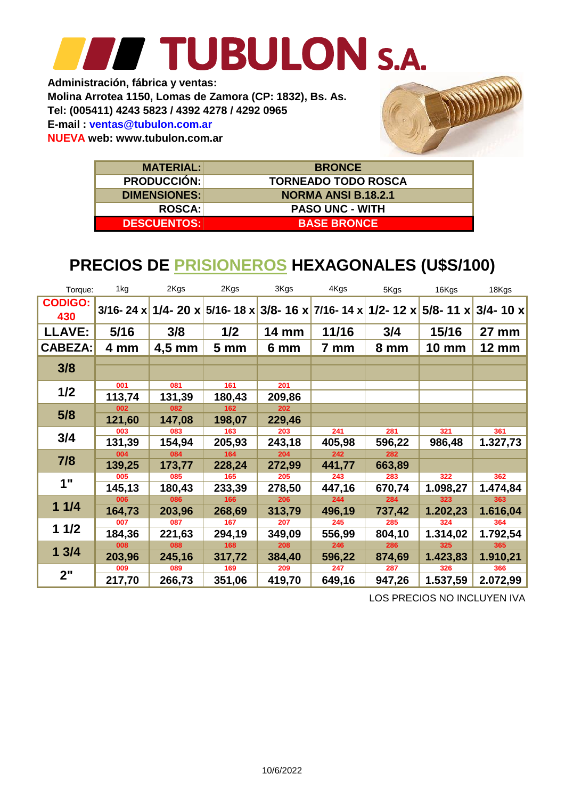**NUEVA web: www.tubulon.com.ar E-mail : ventas@tubulon.com.ar Tel: (005411) 4243 5823 / 4392 4278 / 4292 0965 Administración, fábrica y ventas: Molina Arrotea 1150, Lomas de Zamora (CP: 1832), Bs. As.**



| <b>MATERIAL:</b>    | <b>BRONCE</b>              |
|---------------------|----------------------------|
| <b>PRODUCCIÓN:</b>  | <b>TORNEADO TODO ROSCA</b> |
| <b>DIMENSIONES:</b> | <b>NORMA ANSI B.18.2.1</b> |
| <b>ROSCA:</b>       | <b>PASO UNC - WITH</b>     |
| <b>DESCUENTOS:</b>  | <b>BASE BRONCE</b>         |

### **PRECIOS DE PRISIONEROS HEXAGONALES (U\$S/100)**

| Torque:               | 1kg           | 2Kgs             | 2Kgs            | 3Kgs         | 4Kgs                                                                    | 5Kgs   | 16Kgs        | 18Kgs        |
|-----------------------|---------------|------------------|-----------------|--------------|-------------------------------------------------------------------------|--------|--------------|--------------|
| <b>CODIGO:</b><br>430 | $3/16 - 24 x$ |                  |                 |              | 1/4- 20 x 5/16- 18 x 3/8- 16 x 7/16- 14 x 1/2- 12 x 5/8- 11 x 3/4- 10 x |        |              |              |
| <b>LLAVE:</b>         | 5/16          | 3/8              | 1/2             | <b>14 mm</b> | 11/16                                                                   | 3/4    | 15/16        | <b>27 mm</b> |
| <b>CABEZA:</b>        | 4 mm          | $4,5 \text{ mm}$ | 5 <sub>mm</sub> | 6 mm         | 7 mm                                                                    | 8 mm   | <b>10 mm</b> | <b>12 mm</b> |
|                       |               |                  |                 |              |                                                                         |        |              |              |
| 3/8                   |               |                  |                 |              |                                                                         |        |              |              |
|                       | 001           | 081              | 161             | 201          |                                                                         |        |              |              |
| 1/2                   | 113,74        | 131,39           | 180,43          | 209,86       |                                                                         |        |              |              |
|                       | 002           | 082              | 162             | 202          |                                                                         |        |              |              |
| 5/8                   | 121,60        | 147,08           | 198,07          | 229,46       |                                                                         |        |              |              |
|                       | 003           | 083              | 163             | 203          | 241                                                                     | 281    | 321          | 361          |
| 3/4                   | 131,39        | 154,94           | 205,93          | 243,18       | 405,98                                                                  | 596,22 | 986,48       | 1.327,73     |
|                       | 004           | 084              | 164             | 204          | 242                                                                     | 282    |              |              |
| 7/8                   | 139,25        | 173,77           | 228,24          | 272,99       | 441,77                                                                  | 663,89 |              |              |
| 1"                    | 005           | 085              | 165             | 205          | 243                                                                     | 283    | 322          | 362          |
|                       | 145,13        | 180,43           | 233,39          | 278,50       | 447,16                                                                  | 670,74 | 1.098,27     | 1.474,84     |
|                       | 006           | 086              | 166             | 206          | 244                                                                     | 284    | 323          | 363          |
| 11/4                  | 164,73        | 203,96           | 268,69          | 313,79       | 496,19                                                                  | 737,42 | 1.202,23     | 1.616,04     |
|                       | 007           | 087              | 167             | 207          | 245                                                                     | 285    | 324          | 364          |
| 11/2                  | 184,36        | 221,63           | 294,19          | 349,09       | 556,99                                                                  | 804,10 | 1.314,02     | 1.792,54     |
|                       | 008           | 088              | 168             | 208          | 246                                                                     | 286    | 325          | 365          |
| 13/4                  | 203,96        | 245,16           | 317,72          | 384,40       | 596,22                                                                  | 874,69 | 1.423,83     | 1.910,21     |
|                       | 009           | 089              | 169             | 209          | 247                                                                     | 287    | 326          | 366          |
| 2"                    | 217,70        | 266,73           | 351,06          | 419,70       | 649,16                                                                  | 947,26 | 1.537,59     | 2.072,99     |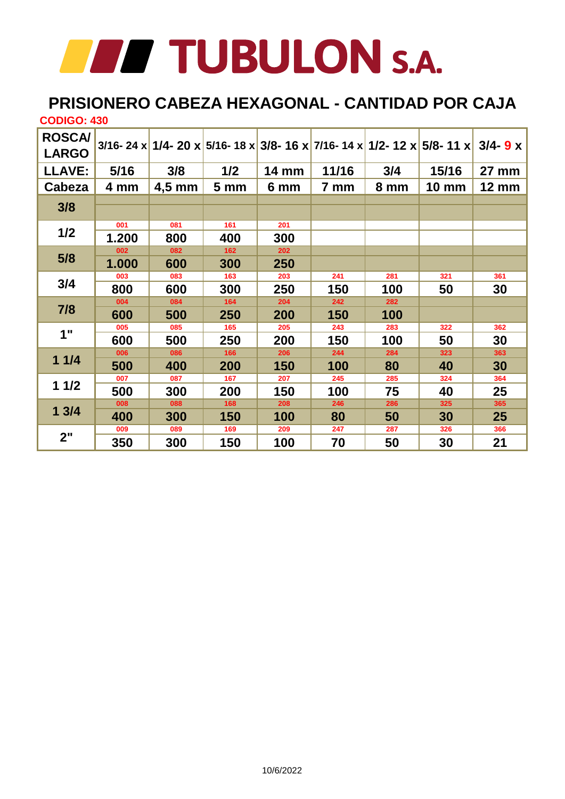### **PRISIONERO CABEZA HEXAGONAL - CANTIDAD POR CAJA**

| <b>CODIGO: 430</b> |       |          |                 |              |       |      |                                                                                   |              |
|--------------------|-------|----------|-----------------|--------------|-------|------|-----------------------------------------------------------------------------------|--------------|
| <b>ROSCA/</b>      |       |          |                 |              |       |      | 3/16- 24 x 1/4- 20 x 5/16- 18 x 3/8- 16 x 7/16- 14 x 1/2- 12 x 5/8- 11 x 3/4- 9 x |              |
| <b>LARGO</b>       |       |          |                 |              |       |      |                                                                                   |              |
| <b>LLAVE:</b>      | 5/16  | 3/8      | 1/2             | <b>14 mm</b> | 11/16 | 3/4  | 15/16                                                                             | 27 mm        |
| Cabeza             | 4 mm  | $4,5$ mm | 5 <sub>mm</sub> | 6 mm         | 7 mm  | 8 mm | <b>10 mm</b>                                                                      | <b>12 mm</b> |
| 3/8                |       |          |                 |              |       |      |                                                                                   |              |
|                    |       |          |                 |              |       |      |                                                                                   |              |
| 1/2                | 001   | 081      | 161             | 201          |       |      |                                                                                   |              |
|                    | 1.200 | 800      | 400             | 300          |       |      |                                                                                   |              |
|                    | 002   | 082      | 162             | 202          |       |      |                                                                                   |              |
| 5/8                | 1.000 | 600      | 300             | 250          |       |      |                                                                                   |              |
|                    | 003   | 083      | 163             | 203          | 241   | 281  | 321                                                                               | 361          |
| 3/4                | 800   | 600      | 300             | 250          | 150   | 100  | 50                                                                                | 30           |
|                    | 004   | 084      | 164             | 204          | 242   | 282  |                                                                                   |              |
| 7/8                | 600   | 500      | 250             | 200          | 150   | 100  |                                                                                   |              |
|                    | 005   | 085      | 165             | 205          | 243   | 283  | 322                                                                               | 362          |
| 1"                 | 600   | 500      | 250             | 200          | 150   | 100  | 50                                                                                | 30           |
|                    | 006   | 086      | 166             | 206          | 244   | 284  | 323                                                                               | 363          |
| 11/4               | 500   | 400      | 200             | 150          | 100   | 80   | 40                                                                                | 30           |
|                    | 007   | 087      | 167             | 207          | 245   | 285  | 324                                                                               | 364          |
| 11/2               | 500   | 300      | 200             | 150          | 100   | 75   | 40                                                                                | 25           |
|                    | 008   | 088      | 168             | 208          | 246   | 286  | 325                                                                               | 365          |
| 13/4               | 400   | 300      | 150             | 100          | 80    | 50   | 30                                                                                | 25           |
|                    | 009   | 089      | 169             | 209          | 247   | 287  | 326                                                                               | 366          |
| 2"                 | 350   | 300      | 150             | 100          | 70    | 50   | 30                                                                                | 21           |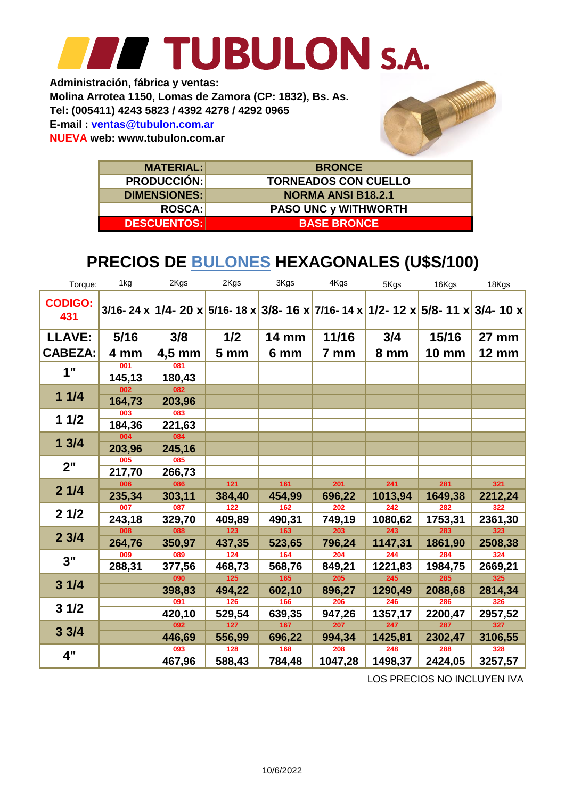**Molina Arrotea 1150, Lomas de Zamora (CP: 1832), Bs. As. Administración, fábrica y ventas: E-mail : ventas@tubulon.com.ar Tel: (005411) 4243 5823 / 4392 4278 / 4292 0965 NUEVA web: www.tubulon.com.ar**



| <b>MATERIAL:</b>    | <b>BRONCE</b>               |
|---------------------|-----------------------------|
| <b>PRODUCCIÓN:</b>  | <b>TORNEADOS CON CUELLO</b> |
| <b>DIMENSIONES:</b> | <b>NORMA ANSI B18.2.1</b>   |
| <b>ROSCA:</b>       | <b>PASO UNC y WITHWORTH</b> |
| <b>DESCUENTOS:</b>  | <b>BASE BRONCE</b>          |

### **PRECIOS DE BULONES HEXAGONALES (U\$S/100)**

| Torque:               | 1kg    | 2Kgs     | 2Kgs                                                                               | 3Kgs         | 4Kgs    | 5Kgs    | 16Kgs        | 18Kgs        |
|-----------------------|--------|----------|------------------------------------------------------------------------------------|--------------|---------|---------|--------------|--------------|
| <b>CODIGO:</b><br>431 |        |          | 3/16- 24 x 1/4- 20 x 5/16- 18 x 3/8- 16 x 7/16- 14 x 1/2- 12 x 5/8- 11 x 3/4- 10 x |              |         |         |              |              |
| <b>LLAVE:</b>         | 5/16   | 3/8      | 1/2                                                                                | <b>14 mm</b> | 11/16   | 3/4     | 15/16        | <b>27 mm</b> |
| <b>CABEZA:</b>        | 4 mm   | $4,5$ mm | 5 <sub>mm</sub>                                                                    | 6 mm         | 7 mm    | 8 mm    | <b>10 mm</b> | <b>12 mm</b> |
| 1"                    | 001    | 081      |                                                                                    |              |         |         |              |              |
|                       | 145,13 | 180,43   |                                                                                    |              |         |         |              |              |
| 11/4                  | 002    | 082      |                                                                                    |              |         |         |              |              |
|                       | 164,73 | 203,96   |                                                                                    |              |         |         |              |              |
| 11/2                  | 003    | 083      |                                                                                    |              |         |         |              |              |
|                       | 184,36 | 221,63   |                                                                                    |              |         |         |              |              |
| 13/4                  | 004    | 084      |                                                                                    |              |         |         |              |              |
|                       | 203,96 | 245,16   |                                                                                    |              |         |         |              |              |
| 2"                    | 005    | 085      |                                                                                    |              |         |         |              |              |
|                       | 217,70 | 266,73   |                                                                                    |              |         |         |              |              |
|                       | 006    | 086      | $121$                                                                              | 161          | 201     | 241     | 281          | 321          |
| 21/4                  | 235,34 | 303,11   | 384,40                                                                             | 454,99       | 696,22  | 1013,94 | 1649,38      | 2212,24      |
|                       | 007    | 087      | 122                                                                                | 162          | 202     | 242     | 282          | 322          |
| 21/2                  | 243,18 | 329,70   | 409,89                                                                             | 490,31       | 749,19  | 1080,62 | 1753,31      | 2361,30      |
|                       | 008    | 088      | $123$                                                                              | 163          | 203     | 243     | 283          | 323          |
| 23/4                  | 264,76 | 350,97   | 437,35                                                                             | 523,65       | 796,24  | 1147,31 | 1861,90      | 2508,38      |
| 3"                    | 009    | 089      | $\overline{124}$                                                                   | 164          | 204     | 244     | 284          | 324          |
|                       | 288,31 | 377,56   | 468,73                                                                             | 568,76       | 849,21  | 1221,83 | 1984,75      | 2669,21      |
|                       |        | 090      | 125                                                                                | 165          | 205     | 245     | 285          | 325          |
| 31/4                  |        | 398,83   | 494,22                                                                             | 602,10       | 896,27  | 1290,49 | 2088,68      | 2814,34      |
|                       |        | 091      | 126                                                                                | 166          | 206     | 246     | 286          | 326          |
| 31/2                  |        | 420,10   | 529,54                                                                             | 639,35       | 947,26  | 1357,17 | 2200,47      | 2957,52      |
|                       |        | 092      | 127                                                                                | 167          | 207     | 247     | 287          | 327          |
| 33/4                  |        | 446,69   | 556,99                                                                             | 696,22       | 994,34  | 1425,81 | 2302,47      | 3106,55      |
|                       |        | 093      | 128                                                                                | 168          | 208     | 248     | 288          | 328          |
| 4"                    |        | 467,96   | 588,43                                                                             | 784,48       | 1047,28 | 1498,37 | 2424,05      | 3257,57      |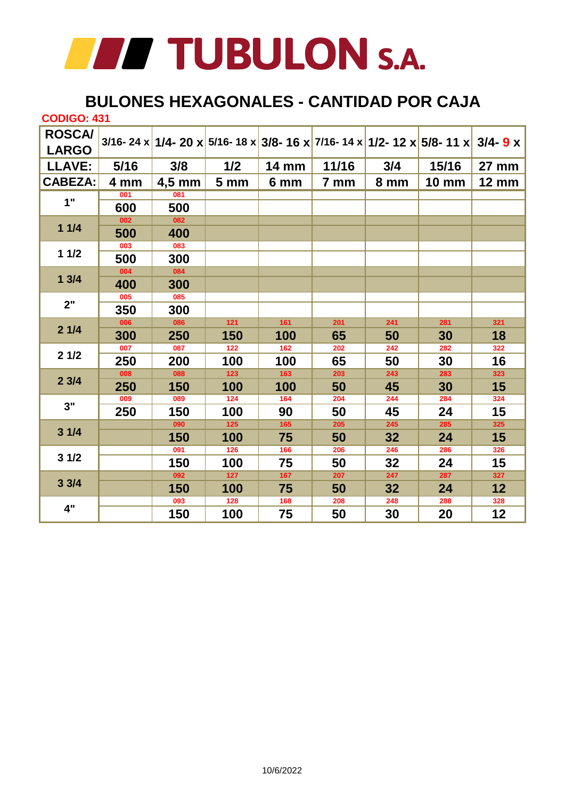

#### **BULONES HEXAGONALES - CANTIDAD POR CAJA**

| <b>CODIGO: 431</b> |      |          |                  |                  |       |      |                                                                                                |              |
|--------------------|------|----------|------------------|------------------|-------|------|------------------------------------------------------------------------------------------------|--------------|
| <b>ROSCA/</b>      |      |          |                  |                  |       |      | 3/16- 24 x <mark>1/4- 20 x 5/16- 18 x 3/8- 16 x 7/16- 14 x 1/2- 12 x 5/8- 11 x 3/4- 9 x</mark> |              |
| <b>LARGO</b>       |      |          |                  |                  |       |      |                                                                                                |              |
| <b>LLAVE:</b>      | 5/16 | 3/8      | 1/2              | <b>14 mm</b>     | 11/16 | 3/4  | 15/16                                                                                          | 27 mm        |
| <b>CABEZA:</b>     | 4 mm | $4,5$ mm | 5 <sub>mm</sub>  | 6 mm             | 7 mm  | 8 mm | <b>10 mm</b>                                                                                   | <b>12 mm</b> |
|                    | 001  | 081      |                  |                  |       |      |                                                                                                |              |
| 1"                 | 600  | 500      |                  |                  |       |      |                                                                                                |              |
|                    | 002  | 082      |                  |                  |       |      |                                                                                                |              |
| 11/4               | 500  | 400      |                  |                  |       |      |                                                                                                |              |
| 11/2               | 003  | 083      |                  |                  |       |      |                                                                                                |              |
|                    | 500  | 300      |                  |                  |       |      |                                                                                                |              |
| 13/4               | 004  | 084      |                  |                  |       |      |                                                                                                |              |
|                    | 400  | 300      |                  |                  |       |      |                                                                                                |              |
| 2"                 | 005  | 085      |                  |                  |       |      |                                                                                                |              |
|                    | 350  | 300      |                  |                  |       |      |                                                                                                |              |
|                    | 006  | 086      | $121$            | 161              | 201   | 241  | 281                                                                                            | 321          |
| 21/4               | 300  | 250      | 150              | 100              | 65    | 50   | 30                                                                                             | 18           |
| 21/2               | 007  | 087      | $\overline{122}$ | $\overline{162}$ | 202   | 242  | 282                                                                                            | 322          |
|                    | 250  | 200      | 100              | 100              | 65    | 50   | 30                                                                                             | 16           |
| 23/4               | 008  | 088      | $\overline{123}$ | 163              | 203   | 243  | 283                                                                                            | 323          |
|                    | 250  | 150      | 100              | 100              | 50    | 45   | 30                                                                                             | 15           |
| 3"                 | 009  | 089      | 124              | 164              | 204   | 244  | 284                                                                                            | 324          |
|                    | 250  | 150      | 100              | 90               | 50    | 45   | 24                                                                                             | 15           |
| 31/4               |      | 090      | 125              | 165              | 205   | 245  | 285                                                                                            | 325          |
|                    |      | 150      | 100              | 75               | 50    | 32   | 24                                                                                             | 15           |
| 31/2               |      | 091      | $\overline{126}$ | 166              | 206   | 246  | 286                                                                                            | 326          |
|                    |      | 150      | 100              | 75               | 50    | 32   | 24                                                                                             | 15           |
| 33/4               |      | 092      | $127$            | 167              | 207   | 247  | 287                                                                                            | 327          |
|                    |      | 150      | 100              | 75               | 50    | 32   | 24                                                                                             | 12           |
| 4"                 |      | 093      | 128              | 168              | 208   | 248  | 288                                                                                            | 328          |
|                    |      | 150      | 100              | 75               | 50    | 30   | 20                                                                                             | 12           |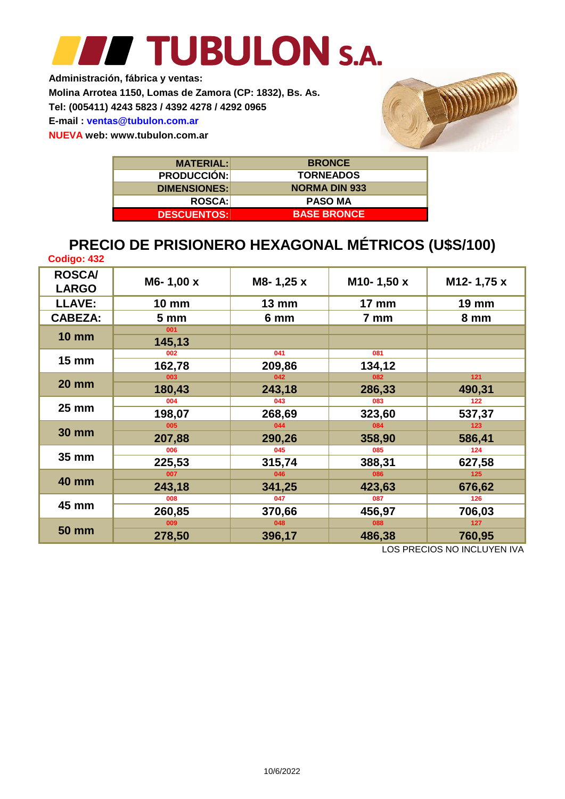**Administración, fábrica y ventas: Tel: (005411) 4243 5823 / 4392 4278 / 4292 0965 Molina Arrotea 1150, Lomas de Zamora (CP: 1832), Bs. As. E-mail : ventas@tubulon.com.ar**

**NUEVA web: www.tubulon.com.ar**



| <b>MATERIAL:</b>    | <b>BRONCE</b>        |
|---------------------|----------------------|
| <b>PRODUCCIÓN:</b>  | <b>TORNEADOS</b>     |
| <b>DIMENSIONES:</b> | <b>NORMA DIN 933</b> |
| <b>ROSCA:</b>       | <b>PASO MA</b>       |
| <b>DESCUENTOS:</b>  | <b>BASE BRONCE</b>   |

### **PRECIO DE PRISIONERO HEXAGONAL MÉTRICOS (U\$S/100)**

| Codigo: 432                   |                 |                   |               |                 |
|-------------------------------|-----------------|-------------------|---------------|-----------------|
| <b>ROSCA/</b><br><b>LARGO</b> | M6-1,00 x       | M8-1,25 x         | M10-1,50 x    | M12-1,75 x      |
| <b>LLAVE:</b>                 | <b>10 mm</b>    | $13 \, \text{mm}$ | <b>17 mm</b>  | <b>19 mm</b>    |
| <b>CABEZA:</b>                | 5 <sub>mm</sub> | 6 mm              | 7 mm          | 8 mm            |
| <b>10 mm</b>                  | 001<br>145,13   |                   |               |                 |
| $15 \text{ mm}$               | 002<br>162,78   | 041<br>209,86     | 081<br>134,12 |                 |
| <b>20 mm</b>                  | 003<br>180,43   | 042<br>243,18     | 082<br>286,33 | $121$<br>490,31 |
| $25 \text{ mm}$               | 004<br>198,07   | 043<br>268,69     | 083<br>323,60 | 122<br>537,37   |
| <b>30 mm</b>                  | 005<br>207,88   | 044<br>290,26     | 084<br>358,90 | 123<br>586,41   |
| 35 mm                         | 006<br>225,53   | 045<br>315,74     | 085<br>388,31 | 124<br>627,58   |
| <b>40 mm</b>                  | 007<br>243,18   | 046<br>341,25     | 086<br>423,63 | 125<br>676,62   |
| 45 mm                         | 008             | 047               | 087           | 126             |
|                               | 260,85          | 370,66            | 456,97        | 706,03          |
| <b>50 mm</b>                  | 009<br>278,50   | 048<br>396,17     | 088<br>486,38 | 127<br>760,95   |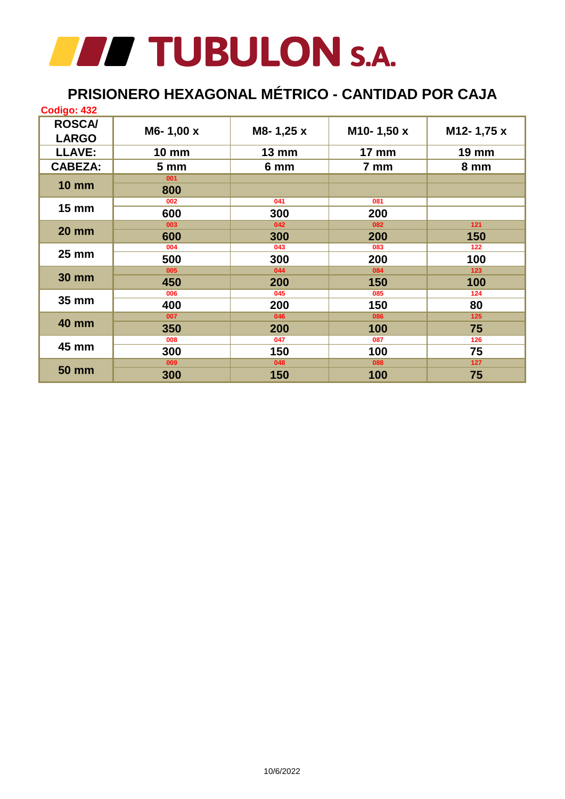### **PRISIONERO HEXAGONAL MÉTRICO - CANTIDAD POR CAJA**

| Codigo: 432                   |                 |              |              |              |
|-------------------------------|-----------------|--------------|--------------|--------------|
| <b>ROSCA/</b><br><b>LARGO</b> | M6-1,00 x       | M8-1,25 x    | M10-1,50 x   | M12-1,75 x   |
| <b>LLAVE:</b>                 | <b>10 mm</b>    | <b>13 mm</b> | <b>17 mm</b> | <b>19 mm</b> |
| <b>CABEZA:</b>                | 5 <sub>mm</sub> | 6 mm         | 7 mm         | 8 mm         |
| <b>10 mm</b>                  | 001<br>800      |              |              |              |
| <b>15 mm</b>                  | 002<br>600      | 041<br>300   | 081<br>200   |              |
| <b>20 mm</b>                  | 003             | 042          | 082          | $121$        |
|                               | 600             | 300          | 200          | 150          |
| $25 \text{ mm}$               | 004             | 043          | 083          | 122          |
|                               | 500             | 300          | 200          | 100          |
| <b>30 mm</b>                  | 005             | 044          | 084          | 123          |
|                               | 450             | 200          | 150          | 100          |
| 35 mm                         | 006             | 045          | 085          | 124          |
|                               | 400             | 200          | 150          | 80           |
| <b>40 mm</b>                  | 007             | 046          | 086          | 125          |
|                               | 350             | 200          | 100          | 75           |
| 45 mm                         | 008             | 047          | 087          | 126          |
|                               | 300             | 150          | 100          | 75           |
| <b>50 mm</b>                  | 009             | 048          | 088          | 127          |
|                               | 300             | 150          | 100          | 75           |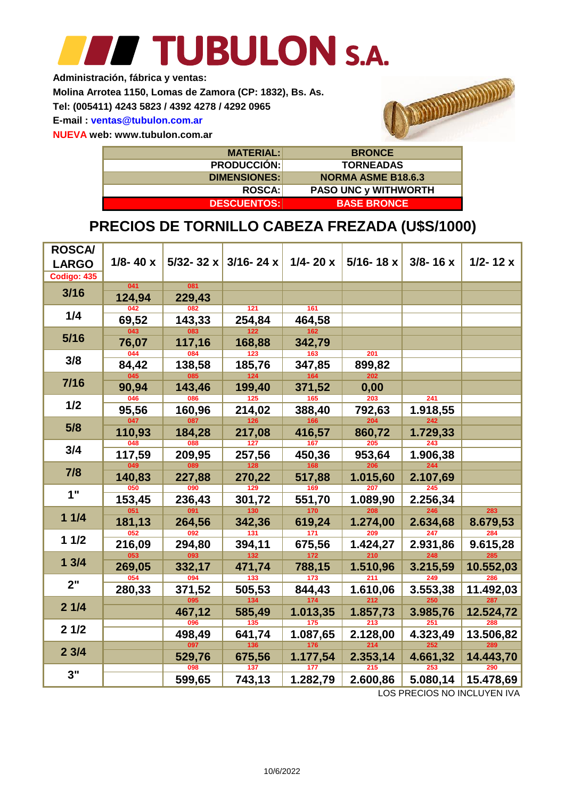### TUBULON S.A. **Single Street**

**Administración, fábrica y ventas:**

**Molina Arrotea 1150, Lomas de Zamora (CP: 1832), Bs. As.**

**Tel: (005411) 4243 5823 / 4392 4278 / 4292 0965**

**E-mail : ventas@tubulon.com.ar**

**NUEVA web: www.tubulon.com.ar**



| <b>MATERIAL:</b>    | <b>BRONCE</b>               |
|---------------------|-----------------------------|
| <b>PRODUCCIÓN:</b>  | <b>TORNEADAS</b>            |
| <b>DIMENSIONES:</b> | <b>NORMA ASME B18.6.3</b>   |
| <b>ROSCA:</b>       | <b>PASO UNC y WITHWORTH</b> |
| <b>DESCUENTOS:</b>  | <b>BASE BRONCE</b>          |

### **PRECIOS DE TORNILLO CABEZA FREZADA (U\$S/1000)**

| <b>ROSCA/</b><br><b>LARGO</b><br><b>Codigo: 435</b> | $1/8 - 40 x$     |        | 5/32-32 x 3/16-24 x | $1/4 - 20 x$     | $5/16 - 18 x$    | $3/8 - 16x$      | $1/2 - 12x$ |
|-----------------------------------------------------|------------------|--------|---------------------|------------------|------------------|------------------|-------------|
|                                                     | 041              | 081    |                     |                  |                  |                  |             |
| 3/16                                                | 124,94           | 229,43 |                     |                  |                  |                  |             |
| 1/4                                                 | 042              | 082    | 121                 | 161              |                  |                  |             |
|                                                     | 69,52            | 143,33 | 254,84              | 464,58           |                  |                  |             |
| 5/16                                                | 043              | 083    | 122                 | 162              |                  |                  |             |
|                                                     | 76,07            | 117,16 | 168,88              | 342,79           |                  |                  |             |
| 3/8                                                 | 044              | 084    | $\overline{123}$    | $163$            | 201              |                  |             |
|                                                     | 84,42            | 138,58 | 185,76              | 347,85           | 899,82           |                  |             |
| $7/16$                                              | $\overline{045}$ | 085    | $\overline{124}$    | 164              | 202              |                  |             |
|                                                     | 90,94            | 143,46 | 199,40              | 371,52           | 0,00             |                  |             |
| 1/2                                                 | 046              | 086    | 125                 | 165              | $\overline{203}$ | $\overline{241}$ |             |
|                                                     | 95,56            | 160,96 | 214,02              | 388,40           | 792,63           | 1.918,55         |             |
| 5/8                                                 | 047              | 087    | 126                 | 166              | 204              | 242              |             |
|                                                     | 110,93           | 184,28 | 217,08              | 416,57           | 860,72           | 1.729,33         |             |
| 3/4                                                 | 048              | 088    | 127                 | 167              | 205              | 243              |             |
|                                                     | 117,59           | 209,95 | 257,56              | 450,36           | 953,64           | 1.906,38         |             |
| 7/8                                                 | 049              | 089    | 128                 | 168              | 206              | 244              |             |
|                                                     | 140,83           | 227,88 | 270,22              | 517,88           | 1.015,60         | 2.107,69         |             |
| 1"                                                  | 050              | 090    | 129                 | 169              | 207              | 245              |             |
|                                                     | 153,45           | 236,43 | 301,72              | 551,70           | 1.089,90         | 2.256,34         |             |
| 11/4                                                | 051              | 091    | 130                 | 170              | 208              | 246              | 283         |
|                                                     | 181,13           | 264,56 | 342,36              | 619,24           | 1.274,00         | 2.634,68         | 8.679,53    |
| 11/2                                                | 052              | 092    | 131                 | $\overline{171}$ | 209              | 247              | 284         |
|                                                     | 216,09           | 294,80 | 394,11              | 675,56           | 1.424,27         | 2.931,86         | 9.615,28    |
| 13/4                                                | 053              | 093    | $132$               | 172              | 210              | 248              | 285         |
|                                                     | 269,05           | 332,17 | 471,74              | 788,15           | 1.510,96         | 3.215,59         | 10.552,03   |
| 2"                                                  | 054              | 094    | 133                 | $\overline{173}$ | 211              | 249              | 286         |
|                                                     | 280,33           | 371,52 | 505,53              | 844,43           | 1.610,06         | 3.553,38         | 11.492,03   |
| 21/4                                                |                  | 095    | $134$               | 174              | 212              | 250              | 287         |
|                                                     |                  | 467,12 | 585,49              | 1.013,35         | 1.857,73         | 3.985,76         | 12.524,72   |
| 21/2                                                |                  | 096    | 135                 | 175              | 213              | 251              | 288         |
|                                                     |                  | 498,49 | 641,74              | 1.087,65         | 2.128,00         | 4.323,49         | 13.506,82   |
| 23/4                                                |                  | 097    | 136                 | 176              | 214              | 252              | 289         |
|                                                     |                  | 529,76 | 675,56              | 1.177,54         | 2.353,14         | 4.661,32         | 14.443,70   |
| 3"                                                  |                  | 098    | 137                 | 177              | 215              | 253              | 290         |
|                                                     |                  | 599,65 | 743,13              | 1.282,79         | 2.600,86         | 5.080,14         | 15.478,69   |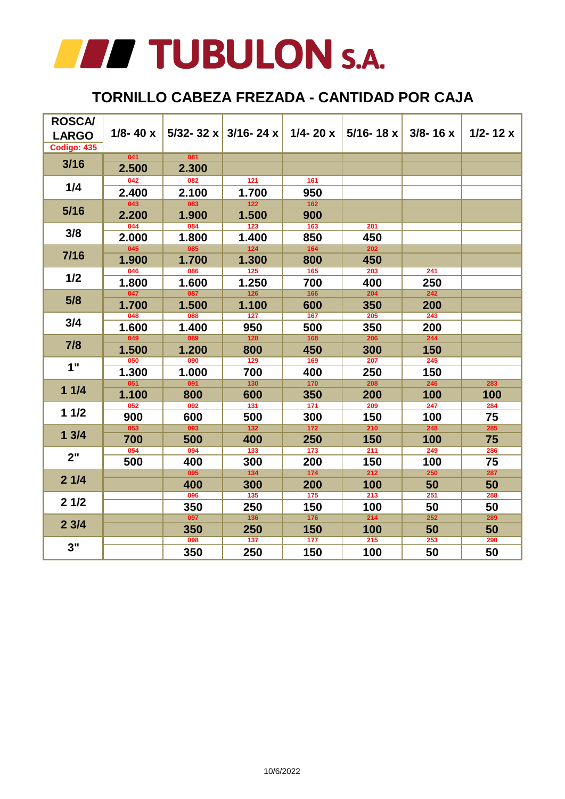

#### **TORNILLO CABEZA FREZADA - CANTIDAD POR CAJA**

| <b>ROSCA/</b><br><b>LARGO</b><br>Codigo: 435 | $1/8 - 40x$ |       | 5/32-32 x 3/16-24 x | $1/4 - 20x$               | $5/16 - 18x$     | $3/8 - 16x$      | $1/2 - 12x$ |
|----------------------------------------------|-------------|-------|---------------------|---------------------------|------------------|------------------|-------------|
| $3/16$                                       | 041         | 081   |                     |                           |                  |                  |             |
|                                              | 2.500       | 2.300 |                     |                           |                  |                  |             |
|                                              | 042         | 082   | 121                 | 161                       |                  |                  |             |
| 1/4                                          | 2.400       | 2.100 | 1.700               | 950                       |                  |                  |             |
| $5/16$                                       | 043         | 083   | $122$               | $162$                     |                  |                  |             |
|                                              | 2.200       | 1.900 | 1.500               | 900                       |                  |                  |             |
| 3/8                                          | 044         | 084   | $\overline{123}$    | $\overline{\mathbf{163}}$ | 201              |                  |             |
|                                              | 2.000       | 1.800 | 1.400               | 850                       | 450              |                  |             |
| $7/16$                                       | 045         | 085   | $124$               | 164                       | 202              |                  |             |
|                                              | 1.900       | 1.700 | 1.300               | 800                       | 450              |                  |             |
| 1/2                                          | 046         | 086   | 125                 | $\overline{\mathbf{165}}$ | 203              | 241              |             |
|                                              | 1.800       | 1.600 | 1.250               | 700                       | 400              | 250              |             |
|                                              | 047         | 087   | 126                 | 166                       | 204              | 242              |             |
| 5/8                                          | 1.700       | 1.500 | 1.100               | 600                       | 350              | 200              |             |
| 3/4                                          | 048         | 088   | 127                 | 167                       | 205              | 243              |             |
|                                              | 1.600       | 1.400 | 950                 | 500                       | 350              | 200              |             |
| 7/8                                          | 049         | 089   | $\overline{128}$    | 168                       | 206              | 244              |             |
|                                              | 1.500       | 1.200 | 800                 | 450                       | 300              | 150              |             |
| 1"                                           | 050         | 090   | 129                 | 169                       | 207              | 245              |             |
|                                              | 1.300       | 1.000 | 700                 | 400                       | 250              | 150              |             |
| 11/4                                         | 051         | 091   | $\overline{130}$    | $170$                     | 208              | 246              | 283         |
|                                              | 1.100       | 800   | 600                 | 350                       | 200              | 100              | 100         |
| 11/2                                         | 052         | 092   | $\overline{131}$    | $\overline{171}$          | 209              | 247              | 284         |
|                                              | 900         | 600   | 500                 | 300                       | 150              | 100              | 75          |
| 13/4                                         | 053         | 093   | $132$               | $172$                     | 210              | 248              | 285         |
|                                              | 700         | 500   | 400                 | 250                       | 150              | 100              | 75          |
| 2"                                           | 054         | 094   | $\overline{133}$    | $\overline{\mathbf{173}}$ | $\overline{211}$ | 249              | 286         |
|                                              | 500         | 400   | 300                 | 200                       | 150              | 100              | 75          |
| 21/4                                         |             | 095   | 134                 | 174                       | 212              | 250              | 287         |
|                                              |             | 400   | 300                 | 200                       | 100              | 50               | 50          |
| 21/2                                         |             | 096   | $\overline{135}$    | $\overline{\mathbf{175}}$ | $\overline{213}$ | $\overline{251}$ | 288         |
|                                              |             | 350   | 250                 | 150                       | 100              | 50               | 50          |
| 23/4                                         |             | 097   | 136                 | 176                       | $\overline{214}$ | 252              | 289         |
|                                              |             | 350   | 250                 | 150                       | 100              | 50               | 50          |
| 3"                                           |             | 098   | 137                 | 177                       | 215              | 253              | 290         |
|                                              |             | 350   | 250                 | 150                       | 100              | 50               | 50          |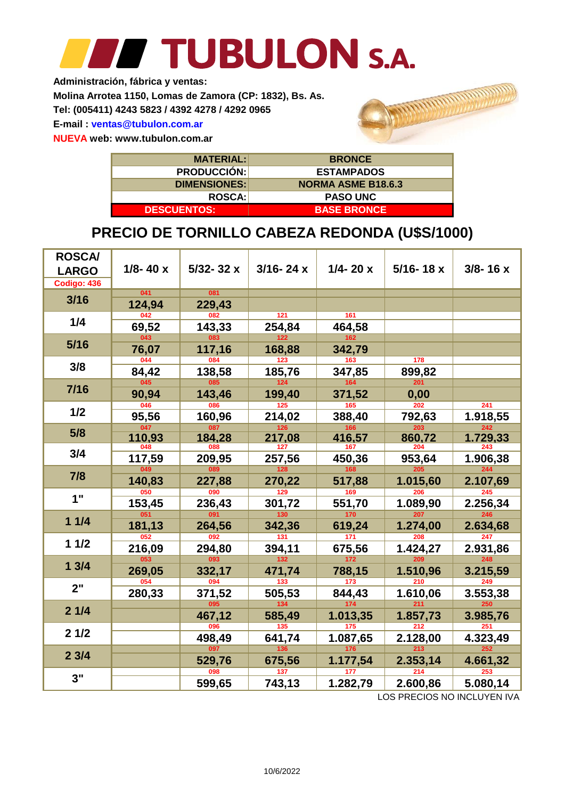**Administración, fábrica y ventas:**

**Molina Arrotea 1150, Lomas de Zamora (CP: 1832), Bs. As.**

**Tel: (005411) 4243 5823 / 4392 4278 / 4292 0965**

**E-mail : ventas@tubulon.com.ar**

**NUEVA web: www.tubulon.com.ar**

| <b>MATERIAL:</b>    | <b>BRONCE</b>             |
|---------------------|---------------------------|
| <b>PRODUCCIÓN:</b>  | <b>ESTAMPADOS</b>         |
| <b>DIMENSIONES:</b> | <b>NORMA ASME B18.6.3</b> |
| <b>ROSCA:</b>       | <b>PASO UNC</b>           |
| <b>DESCUENTOS:</b>  | <b>BASE BRONCE</b>        |

### **PRECIO DE TORNILLO CABEZA REDONDA (U\$S/1000)**

| <b>ROSCA/</b><br><b>LARGO</b><br>Codigo: 436 | $1/8 - 40x$ | $5/32 - 32x$ | $3/16 - 24x$ | $1/4 - 20x$ | $5/16 - 18x$     | $3/8 - 16x$ |
|----------------------------------------------|-------------|--------------|--------------|-------------|------------------|-------------|
|                                              | 041         | 081          |              |             |                  |             |
| 3/16                                         | 124,94      | 229,43       |              |             |                  |             |
|                                              | 042         | 082          | 121          | 161         |                  |             |
| 1/4                                          | 69,52       | 143,33       | 254,84       | 464,58      |                  |             |
| $5/16$                                       | 043         | 083          | 122          | 162         |                  |             |
|                                              | 76,07       | 117,16       | 168,88       | 342,79      |                  |             |
| 3/8                                          | 044         | 084          | 123          | 163         | 178              |             |
|                                              | 84,42       | 138,58       | 185,76       | 347,85      | 899,82           |             |
| $7/16$                                       | 045         | 085          | 124          | 164         | 201              |             |
|                                              | 90,94       | 143,46       | 199,40       | 371,52      | 0,00             |             |
| 1/2                                          | 046         | 086          | 125          | 165         | 202              | 241         |
|                                              | 95,56       | 160,96       | 214,02       | 388,40      | 792,63           | 1.918,55    |
| 5/8                                          | 047         | 087          | 126          | 166         | 203              | 242         |
|                                              | 110,93      | 184,28       | 217,08       | 416,57      | 860,72           | 1.729,33    |
| 3/4                                          | 048         | 088          | 127          | 167         | 204              | 243         |
|                                              | 117,59      | 209,95       | 257,56       | 450,36      | 953,64           | 1.906,38    |
| 7/8                                          | 049         | 089          | 128          | 168         | 205              | 244         |
|                                              | 140,83      | 227,88       | 270,22       | 517,88      | 1.015,60         | 2.107,69    |
| 1"                                           | 050         | 090          | 129          | 169         | 206              | 245         |
|                                              | 153,45      | 236,43       | 301,72       | 551,70      | 1.089,90         | 2.256,34    |
| 11/4                                         | 051         | 091          | 130          | 170         | 207              | 246         |
|                                              | 181,13      | 264,56       | 342,36       | 619,24      | 1.274,00         | 2.634,68    |
| 11/2                                         | 052         | 092          | 131          | 171         | 208              | 247         |
|                                              | 216,09      | 294,80       | 394,11       | 675,56      | 1.424,27         | 2.931,86    |
| 13/4                                         | 053         | 093          | $132$        | 172         | 209              | 248         |
|                                              | 269,05      | 332,17       | 471,74       | 788,15      | 1.510,96         | 3.215,59    |
| 2"                                           | 054         | 094          | 133          | 173         | $\overline{210}$ | 249         |
|                                              | 280,33      | 371,52       | 505,53       | 844,43      | 1.610,06         | 3.553,38    |
| 21/4                                         |             | 095          | 134          | 174         | 211              | 250         |
|                                              |             | 467,12       | 585,49       | 1.013,35    | 1.857,73         | 3.985,76    |
| 21/2                                         |             | 096          | 135          | 175         | 212              | 251         |
|                                              |             | 498,49       | 641,74       | 1.087,65    | 2.128,00         | 4.323,49    |
| 23/4                                         |             | 097          | 136          | 176         | 213              | 252         |
|                                              |             | 529,76       | 675,56       | 1.177,54    | 2.353,14         | 4.661,32    |
| 3"                                           |             | 098          | 137          | 177         | 214              | 253         |
|                                              |             | 599,65       | 743,13       | 1.282,79    | 2.600,86         | 5.080,14    |

LOS PRECIOS NO INCLUYEN IVA

annon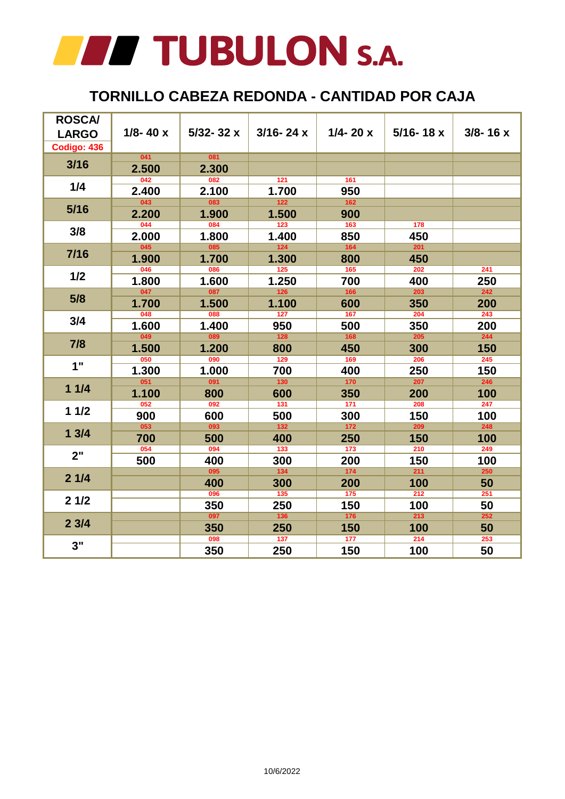#### **TORNILLO CABEZA REDONDA - CANTIDAD POR CAJA**

| <b>ROSCA/</b><br><b>LARGO</b><br>Codigo: 436 | $1/8 - 40x$      | $5/32 - 32x$ | $3/16 - 24x$     | $1/4 - 20x$               | $5/16 - 18x$     | $3/8 - 16x$      |
|----------------------------------------------|------------------|--------------|------------------|---------------------------|------------------|------------------|
| $3/16$                                       | 041              | 081          |                  |                           |                  |                  |
|                                              | 2.500            | 2.300        |                  |                           |                  |                  |
| 1/4                                          | $\overline{042}$ | 082          | 121              | 161                       |                  |                  |
|                                              | 2.400            | 2.100        | 1.700            | 950                       |                  |                  |
| $5/16$                                       | 043              | 083          | $122$            | 162                       |                  |                  |
|                                              | 2.200            | 1.900        | 1.500            | 900                       |                  |                  |
| 3/8                                          | $\overline{044}$ | 084          | $\overline{123}$ | $\overline{\mathbf{163}}$ | 178              |                  |
|                                              | 2.000            | 1.800        | 1.400            | 850                       | 450              |                  |
| 7/16                                         | 045              | 085          | $124$            | 164                       | 201              |                  |
|                                              | 1.900            | 1.700        | 1.300            | 800                       | 450              |                  |
| 1/2                                          | 046              | 086          | $\overline{125}$ | $\frac{165}{165}$         | 202              | $\overline{241}$ |
|                                              | 1.800            | 1.600        | 1.250            | 700                       | 400              | 250              |
|                                              | 047              | 087          | $\overline{126}$ | $\overline{\mathbf{166}}$ | 203              | 242              |
| 5/8                                          | 1.700            | 1.500        | 1.100            | 600                       | 350              | 200              |
|                                              | 048              | 088          | 127              | 167                       | 204              | $\overline{243}$ |
| 3/4                                          | 1.600            | 1.400        | 950              | 500                       | 350              | 200              |
|                                              | 049              | 089          | $\overline{128}$ | 168                       | 205              | 244              |
| 7/8                                          | 1.500            | 1.200        | 800              | 450                       | 300              | 150              |
|                                              | 050              | 090          | 129              | 169                       | 206              | 245              |
| 1"                                           | 1.300            | 1.000        | 700              | 400                       | 250              | 150              |
| 11/4                                         | 051              | 091          | $\overline{130}$ | 170                       | 207              | 246              |
|                                              | 1.100            | 800          | 600              | 350                       | 200              | 100              |
|                                              | 052              | 092          | $\overline{131}$ | $\overline{171}$          | 208              | $\overline{247}$ |
| 11/2                                         | 900              | 600          | 500              | 300                       | 150              | 100              |
|                                              | 053              | 093          | $\overline{132}$ | $172$                     | 209              | 248              |
| 13/4                                         | 700              | 500          | 400              | 250                       | 150              | 100              |
|                                              | $\overline{054}$ | 094          | $\overline{133}$ | $\overline{\mathbf{173}}$ | 210              | 249              |
| 2"                                           | 500              | 400          | 300              | 200                       | 150              | 100              |
|                                              |                  | 095          | 134              | 174                       | 211              | 250              |
| 21/4                                         |                  | 400          | 300              | 200                       | 100              | 50               |
|                                              |                  | 096          | $\overline{135}$ | $\overline{\mathbf{175}}$ | 212              | $\overline{251}$ |
| 21/2                                         |                  | 350          | 250              | 150                       | 100              | 50               |
|                                              |                  | 097          | 136              | $176$                     | 213              | 252              |
| 23/4                                         |                  | 350          | 250              | 150                       | 100              | 50               |
|                                              |                  | 098          | 137              | 177                       | $\overline{214}$ | 253              |
| 3"                                           |                  | 350          | 250              | 150                       | 100              | 50               |